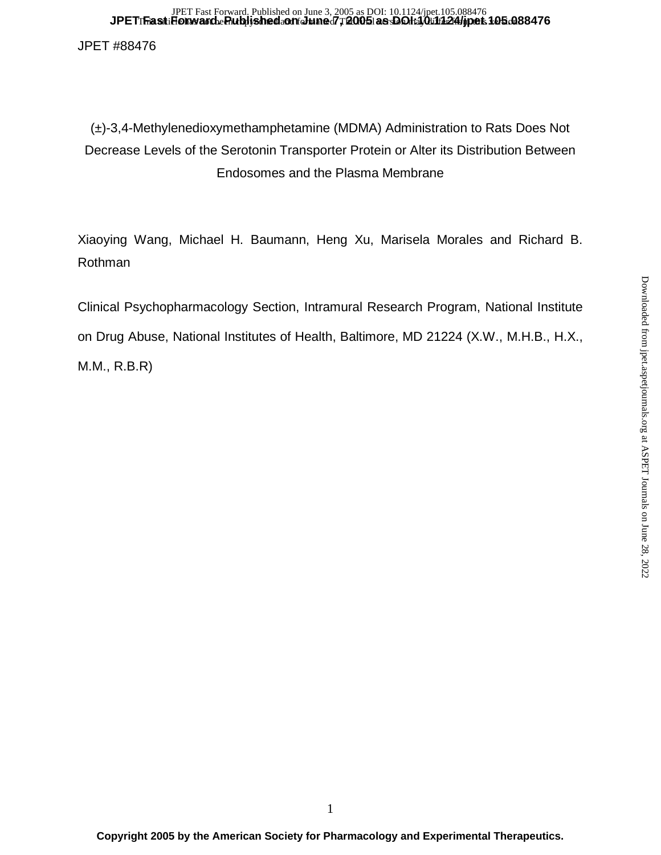(±)-3,4-Methylenedioxymethamphetamine (MDMA) Administration to Rats Does Not Decrease Levels of the Serotonin Transporter Protein or Alter its Distribution Between Endosomes and the Plasma Membrane

Xiaoying Wang, Michael H. Baumann, Heng Xu, Marisela Morales and Richard B. Rothman

Clinical Psychopharmacology Section, Intramural Research Program, National Institute on Drug Abuse, National Institutes of Health, Baltimore, MD 21224 (X.W., M.H.B., H.X., M.M., R.B.R)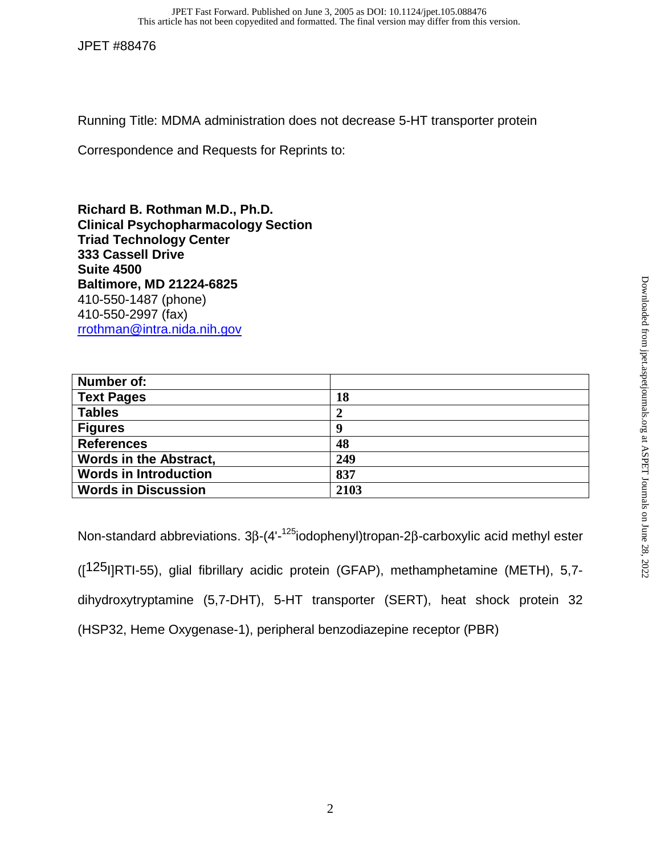Running Title: MDMA administration does not decrease 5-HT transporter protein

Correspondence and Requests for Reprints to:

**Richard B. Rothman M.D., Ph.D. Clinical Psychopharmacology Section Triad Technology Center 333 Cassell Drive Suite 4500 Baltimore, MD 21224-6825** 410-550-1487 (phone) 410-550-2997 (fax) rrothman@intra.nida.nih.gov

| Number of:                    |                |
|-------------------------------|----------------|
| <b>Text Pages</b>             | <b>18</b>      |
| <b>Tables</b>                 | $\overline{2}$ |
| <b>Figures</b>                | 9              |
| <b>References</b>             | 48             |
| <b>Words in the Abstract,</b> | 249            |
| <b>Words in Introduction</b>  | 837            |
| <b>Words in Discussion</b>    | 2103           |

Non-standard abbreviations. 3β-(4'-125iodophenyl)tropan-2β-carboxylic acid methyl ester  $(I^{125}I|RTI-55)$ , glial fibrillary acidic protein (GFAP), methamphetamine (METH), 5,7dihydroxytryptamine (5,7-DHT), 5-HT transporter (SERT), heat shock protein 32 (HSP32, Heme Oxygenase-1), peripheral benzodiazepine receptor (PBR)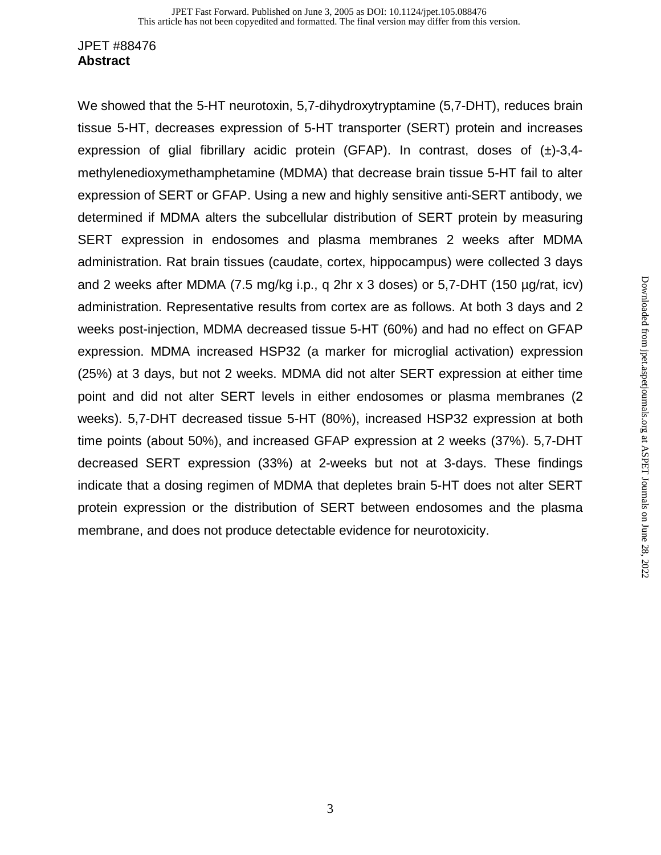## JPET #88476 **Abstract**

We showed that the 5-HT neurotoxin, 5,7-dihydroxytryptamine (5,7-DHT), reduces brain tissue 5-HT, decreases expression of 5-HT transporter (SERT) protein and increases expression of glial fibrillary acidic protein (GFAP). In contrast, doses of  $(\pm)$ -3,4methylenedioxymethamphetamine (MDMA) that decrease brain tissue 5-HT fail to alter expression of SERT or GFAP. Using a new and highly sensitive anti-SERT antibody, we determined if MDMA alters the subcellular distribution of SERT protein by measuring SERT expression in endosomes and plasma membranes 2 weeks after MDMA administration. Rat brain tissues (caudate, cortex, hippocampus) were collected 3 days and 2 weeks after MDMA (7.5 mg/kg i.p., q 2hr x 3 doses) or 5,7-DHT (150 µg/rat, icv) administration. Representative results from cortex are as follows. At both 3 days and 2 weeks post-injection, MDMA decreased tissue 5-HT (60%) and had no effect on GFAP expression. MDMA increased HSP32 (a marker for microglial activation) expression (25%) at 3 days, but not 2 weeks. MDMA did not alter SERT expression at either time point and did not alter SERT levels in either endosomes or plasma membranes (2 weeks). 5,7-DHT decreased tissue 5-HT (80%), increased HSP32 expression at both time points (about 50%), and increased GFAP expression at 2 weeks (37%). 5,7-DHT decreased SERT expression (33%) at 2-weeks but not at 3-days. These findings indicate that a dosing regimen of MDMA that depletes brain 5-HT does not alter SERT protein expression or the distribution of SERT between endosomes and the plasma membrane, and does not produce detectable evidence for neurotoxicity.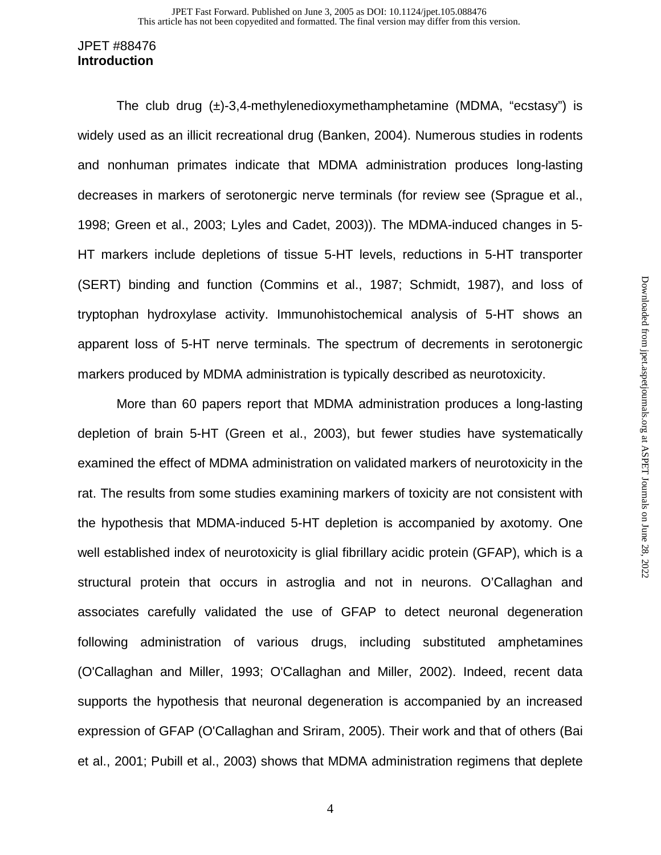### JPET #88476 **Introduction**

The club drug (±)-3,4-methylenedioxymethamphetamine (MDMA, "ecstasy") is widely used as an illicit recreational drug (Banken, 2004). Numerous studies in rodents and nonhuman primates indicate that MDMA administration produces long-lasting decreases in markers of serotonergic nerve terminals (for review see (Sprague et al., 1998; Green et al., 2003; Lyles and Cadet, 2003)). The MDMA-induced changes in 5- HT markers include depletions of tissue 5-HT levels, reductions in 5-HT transporter (SERT) binding and function (Commins et al., 1987; Schmidt, 1987), and loss of tryptophan hydroxylase activity. Immunohistochemical analysis of 5-HT shows an apparent loss of 5-HT nerve terminals. The spectrum of decrements in serotonergic markers produced by MDMA administration is typically described as neurotoxicity.

More than 60 papers report that MDMA administration produces a long-lasting depletion of brain 5-HT (Green et al., 2003), but fewer studies have systematically examined the effect of MDMA administration on validated markers of neurotoxicity in the rat. The results from some studies examining markers of toxicity are not consistent with the hypothesis that MDMA-induced 5-HT depletion is accompanied by axotomy. One well established index of neurotoxicity is glial fibrillary acidic protein (GFAP), which is a structural protein that occurs in astroglia and not in neurons. O'Callaghan and associates carefully validated the use of GFAP to detect neuronal degeneration following administration of various drugs, including substituted amphetamines (O'Callaghan and Miller, 1993; O'Callaghan and Miller, 2002). Indeed, recent data supports the hypothesis that neuronal degeneration is accompanied by an increased expression of GFAP (O'Callaghan and Sriram, 2005). Their work and that of others (Bai et al., 2001; Pubill et al., 2003) shows that MDMA administration regimens that deplete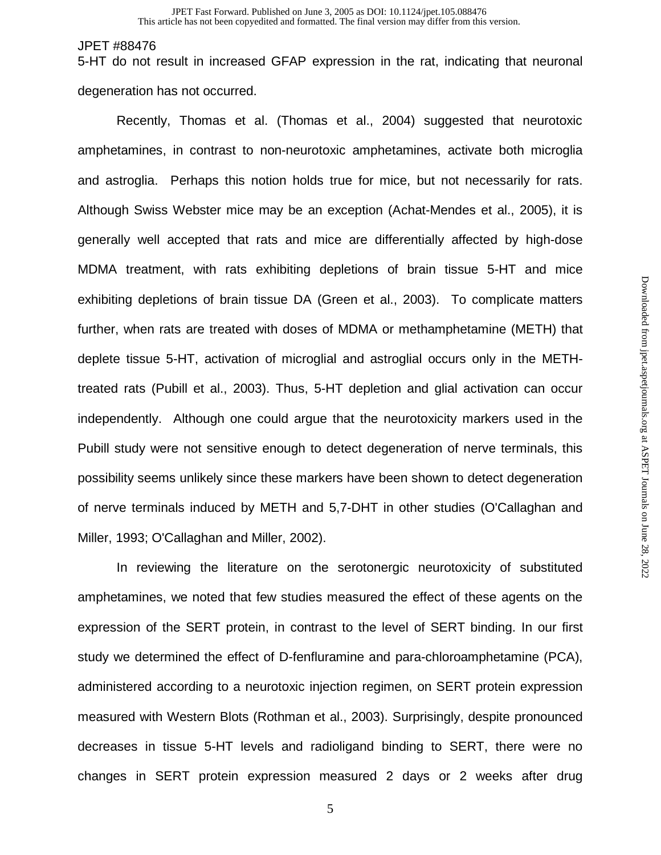5-HT do not result in increased GFAP expression in the rat, indicating that neuronal degeneration has not occurred.

Recently, Thomas et al. (Thomas et al., 2004) suggested that neurotoxic amphetamines, in contrast to non-neurotoxic amphetamines, activate both microglia and astroglia. Perhaps this notion holds true for mice, but not necessarily for rats. Although Swiss Webster mice may be an exception (Achat-Mendes et al., 2005), it is generally well accepted that rats and mice are differentially affected by high-dose MDMA treatment, with rats exhibiting depletions of brain tissue 5-HT and mice exhibiting depletions of brain tissue DA (Green et al., 2003). To complicate matters further, when rats are treated with doses of MDMA or methamphetamine (METH) that deplete tissue 5-HT, activation of microglial and astroglial occurs only in the METHtreated rats (Pubill et al., 2003). Thus, 5-HT depletion and glial activation can occur independently. Although one could argue that the neurotoxicity markers used in the Pubill study were not sensitive enough to detect degeneration of nerve terminals, this possibility seems unlikely since these markers have been shown to detect degeneration of nerve terminals induced by METH and 5,7-DHT in other studies (O'Callaghan and Miller, 1993; O'Callaghan and Miller, 2002).

In reviewing the literature on the serotonergic neurotoxicity of substituted amphetamines, we noted that few studies measured the effect of these agents on the expression of the SERT protein, in contrast to the level of SERT binding. In our first study we determined the effect of D-fenfluramine and para-chloroamphetamine (PCA), administered according to a neurotoxic injection regimen, on SERT protein expression measured with Western Blots (Rothman et al., 2003). Surprisingly, despite pronounced decreases in tissue 5-HT levels and radioligand binding to SERT, there were no changes in SERT protein expression measured 2 days or 2 weeks after drug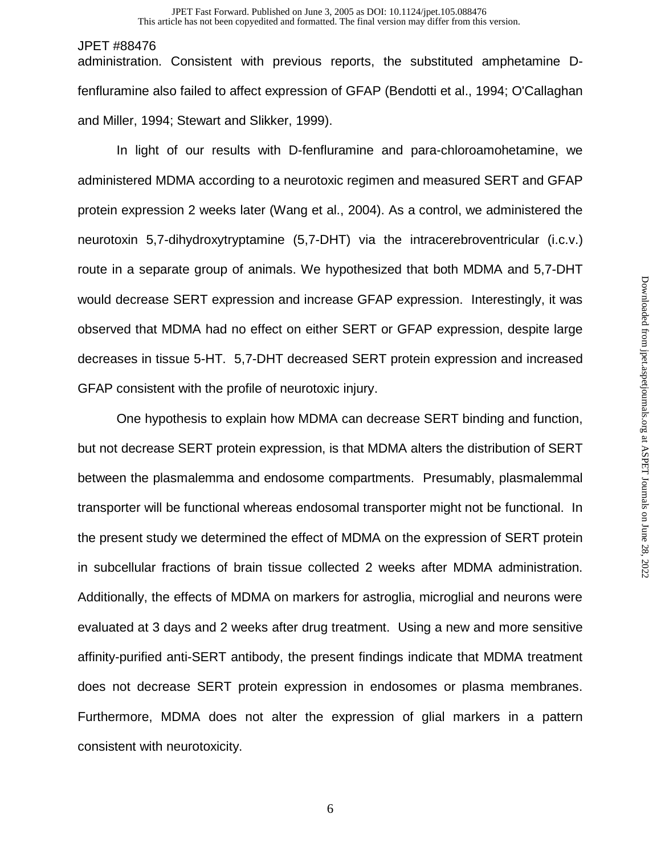administration. Consistent with previous reports, the substituted amphetamine Dfenfluramine also failed to affect expression of GFAP (Bendotti et al., 1994; O'Callaghan and Miller, 1994; Stewart and Slikker, 1999).

In light of our results with D-fenfluramine and para-chloroamohetamine, we administered MDMA according to a neurotoxic regimen and measured SERT and GFAP protein expression 2 weeks later (Wang et al., 2004). As a control, we administered the neurotoxin 5,7-dihydroxytryptamine (5,7-DHT) via the intracerebroventricular (i.c.v.) route in a separate group of animals. We hypothesized that both MDMA and 5,7-DHT would decrease SERT expression and increase GFAP expression. Interestingly, it was observed that MDMA had no effect on either SERT or GFAP expression, despite large decreases in tissue 5-HT. 5,7-DHT decreased SERT protein expression and increased GFAP consistent with the profile of neurotoxic injury.

One hypothesis to explain how MDMA can decrease SERT binding and function, but not decrease SERT protein expression, is that MDMA alters the distribution of SERT between the plasmalemma and endosome compartments. Presumably, plasmalemmal transporter will be functional whereas endosomal transporter might not be functional. In the present study we determined the effect of MDMA on the expression of SERT protein in subcellular fractions of brain tissue collected 2 weeks after MDMA administration. Additionally, the effects of MDMA on markers for astroglia, microglial and neurons were evaluated at 3 days and 2 weeks after drug treatment. Using a new and more sensitive affinity-purified anti-SERT antibody, the present findings indicate that MDMA treatment does not decrease SERT protein expression in endosomes or plasma membranes. Furthermore, MDMA does not alter the expression of glial markers in a pattern consistent with neurotoxicity.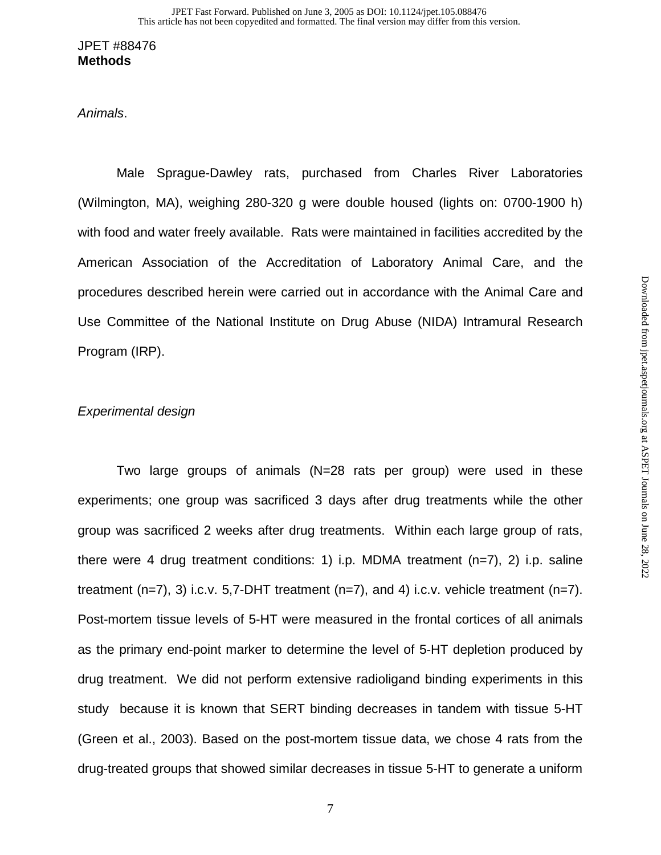#### JPET #88476 **Methods**

Animals.

Male Sprague-Dawley rats, purchased from Charles River Laboratories (Wilmington, MA), weighing 280-320 g were double housed (lights on: 0700-1900 h) with food and water freely available. Rats were maintained in facilities accredited by the American Association of the Accreditation of Laboratory Animal Care, and the procedures described herein were carried out in accordance with the Animal Care and Use Committee of the National Institute on Drug Abuse (NIDA) Intramural Research Program (IRP).

## Experimental design

 Two large groups of animals (N=28 rats per group) were used in these experiments; one group was sacrificed 3 days after drug treatments while the other group was sacrificed 2 weeks after drug treatments. Within each large group of rats, there were 4 drug treatment conditions: 1) i.p. MDMA treatment (n=7), 2) i.p. saline treatment  $(n=7)$ , 3) i.c.v. 5,7-DHT treatment  $(n=7)$ , and 4) i.c.v. vehicle treatment  $(n=7)$ . Post-mortem tissue levels of 5-HT were measured in the frontal cortices of all animals as the primary end-point marker to determine the level of 5-HT depletion produced by drug treatment. We did not perform extensive radioligand binding experiments in this study because it is known that SERT binding decreases in tandem with tissue 5-HT (Green et al., 2003). Based on the post-mortem tissue data, we chose 4 rats from the drug-treated groups that showed similar decreases in tissue 5-HT to generate a uniform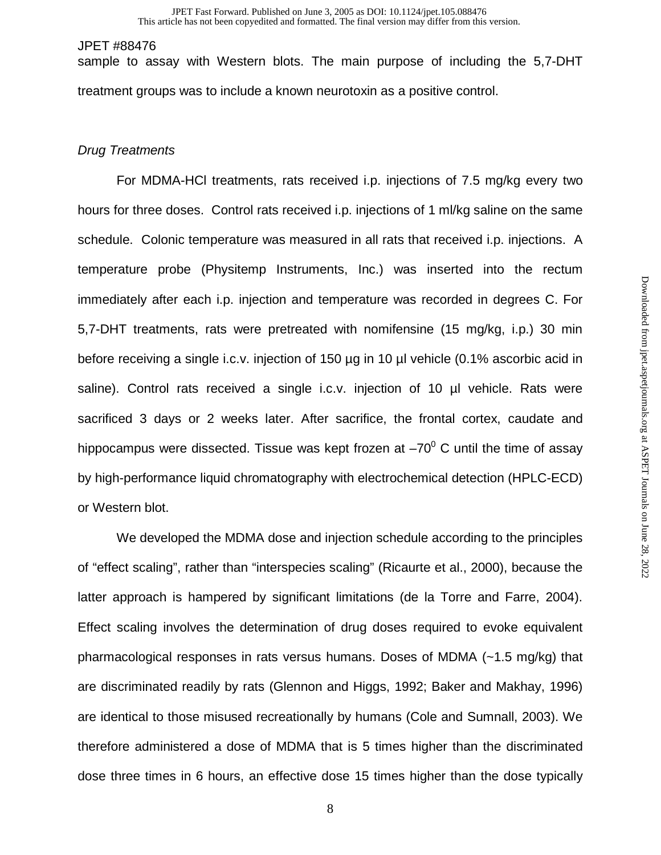sample to assay with Western blots. The main purpose of including the 5,7-DHT treatment groups was to include a known neurotoxin as a positive control.

## Drug Treatments

For MDMA-HCl treatments, rats received i.p. injections of 7.5 mg/kg every two hours for three doses. Control rats received i.p. injections of 1 ml/kg saline on the same schedule. Colonic temperature was measured in all rats that received i.p. injections. A temperature probe (Physitemp Instruments, Inc.) was inserted into the rectum immediately after each i.p. injection and temperature was recorded in degrees C. For 5,7-DHT treatments, rats were pretreated with nomifensine (15 mg/kg, i.p.) 30 min before receiving a single i.c.v. injection of 150 µg in 10 µl vehicle (0.1% ascorbic acid in saline). Control rats received a single i.c.v. injection of 10 µl vehicle. Rats were sacrificed 3 days or 2 weeks later. After sacrifice, the frontal cortex, caudate and hippocampus were dissected. Tissue was kept frozen at  $-70^0$  C until the time of assay by high-performance liquid chromatography with electrochemical detection (HPLC-ECD) or Western blot.

We developed the MDMA dose and injection schedule according to the principles of "effect scaling", rather than "interspecies scaling" (Ricaurte et al., 2000), because the latter approach is hampered by significant limitations (de la Torre and Farre, 2004). Effect scaling involves the determination of drug doses required to evoke equivalent pharmacological responses in rats versus humans. Doses of MDMA (~1.5 mg/kg) that are discriminated readily by rats (Glennon and Higgs, 1992; Baker and Makhay, 1996) are identical to those misused recreationally by humans (Cole and Sumnall, 2003). We therefore administered a dose of MDMA that is 5 times higher than the discriminated dose three times in 6 hours, an effective dose 15 times higher than the dose typically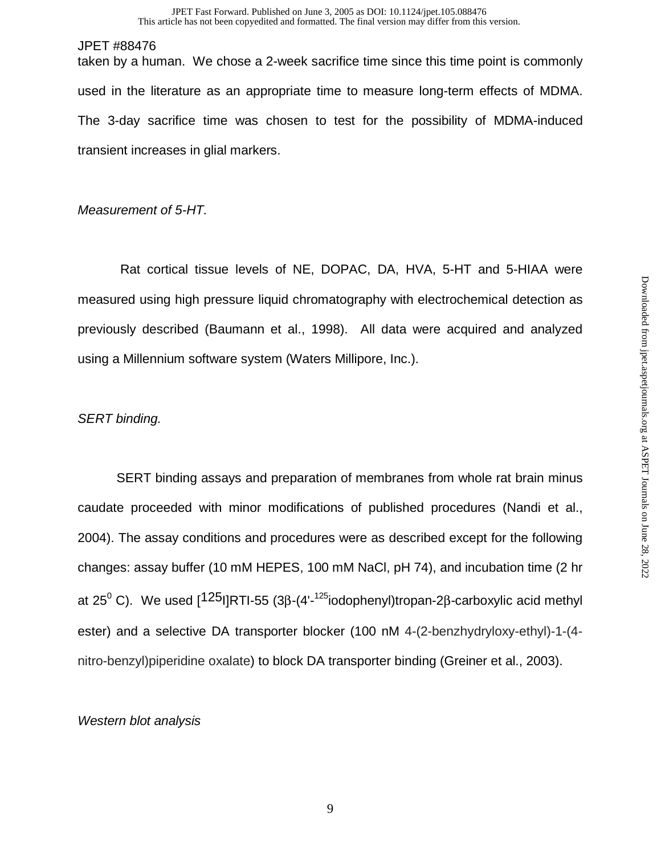taken by a human. We chose a 2-week sacrifice time since this time point is commonly used in the literature as an appropriate time to measure long-term effects of MDMA. The 3-day sacrifice time was chosen to test for the possibility of MDMA-induced transient increases in glial markers.

## Measurement of 5-HT.

 Rat cortical tissue levels of NE, DOPAC, DA, HVA, 5-HT and 5-HIAA were measured using high pressure liquid chromatography with electrochemical detection as previously described (Baumann et al., 1998). All data were acquired and analyzed using a Millennium software system (Waters Millipore, Inc.).

## SERT binding.

 SERT binding assays and preparation of membranes from whole rat brain minus caudate proceeded with minor modifications of published procedures (Nandi et al., 2004). The assay conditions and procedures were as described except for the following changes: assay buffer (10 mM HEPES, 100 mM NaCl, pH 74), and incubation time (2 hr at 25<sup>0</sup> C). We used [<sup>125</sup>Ι]RTI-55 (3β-(4'-<sup>125</sup>iodophenyl)tropan-2β-carboxylic acid methyl ester) and a selective DA transporter blocker (100 nM 4-(2-benzhydryloxy-ethyl)-1-(4 nitro-benzyl)piperidine oxalate) to block DA transporter binding (Greiner et al., 2003).

## Western blot analysis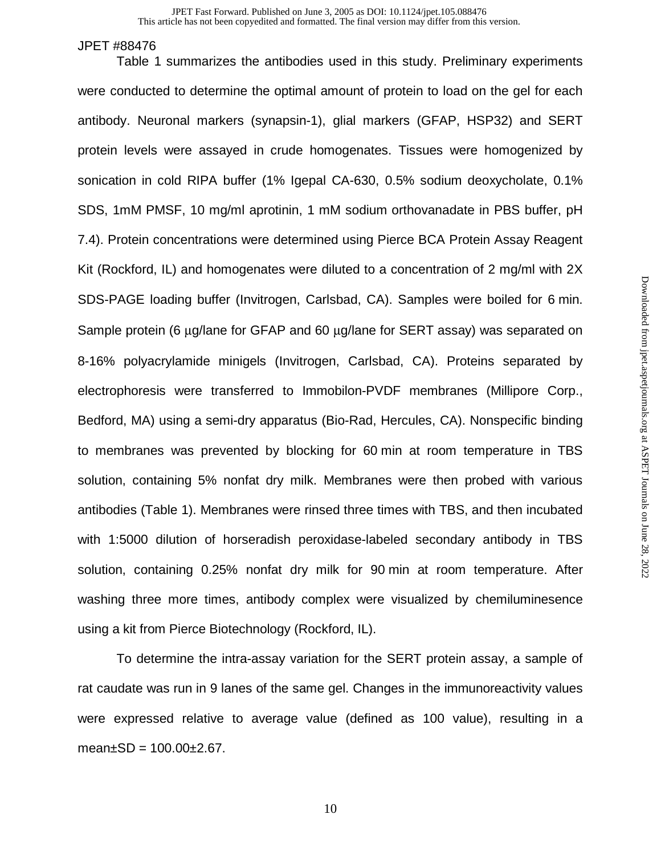Table 1 summarizes the antibodies used in this study. Preliminary experiments were conducted to determine the optimal amount of protein to load on the gel for each antibody. Neuronal markers (synapsin-1), glial markers (GFAP, HSP32) and SERT protein levels were assayed in crude homogenates. Tissues were homogenized by sonication in cold RIPA buffer (1% Igepal CA-630, 0.5% sodium deoxycholate, 0.1% SDS, 1mM PMSF, 10 mg/ml aprotinin, 1 mM sodium orthovanadate in PBS buffer, pH 7.4). Protein concentrations were determined using Pierce BCA Protein Assay Reagent Kit (Rockford, IL) and homogenates were diluted to a concentration of 2 mg/ml with 2X SDS-PAGE loading buffer (Invitrogen, Carlsbad, CA). Samples were boiled for 6 min. Sample protein (6 µg/lane for GFAP and 60 µg/lane for SERT assay) was separated on 8-16% polyacrylamide minigels (Invitrogen, Carlsbad, CA). Proteins separated by electrophoresis were transferred to Immobilon-PVDF membranes (Millipore Corp., Bedford, MA) using a semi-dry apparatus (Bio-Rad, Hercules, CA). Nonspecific binding to membranes was prevented by blocking for 60 min at room temperature in TBS solution, containing 5% nonfat dry milk. Membranes were then probed with various antibodies (Table 1). Membranes were rinsed three times with TBS, and then incubated with 1:5000 dilution of horseradish peroxidase-labeled secondary antibody in TBS solution, containing 0.25% nonfat dry milk for 90 min at room temperature. After washing three more times, antibody complex were visualized by chemiluminesence using a kit from Pierce Biotechnology (Rockford, IL).

To determine the intra-assay variation for the SERT protein assay, a sample of rat caudate was run in 9 lanes of the same gel. Changes in the immunoreactivity values were expressed relative to average value (defined as 100 value), resulting in a  $mean \pm SD = 100.00 \pm 2.67$ .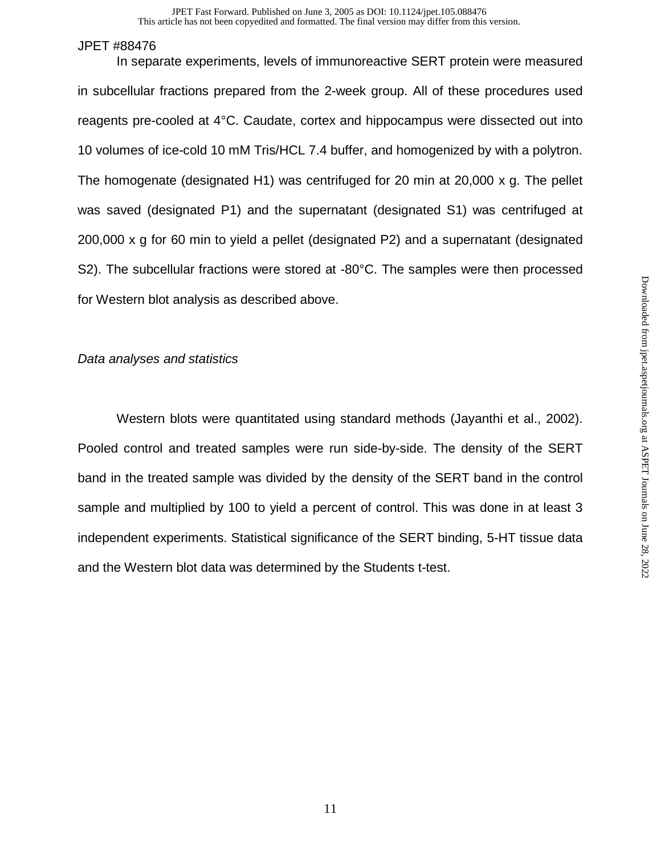In separate experiments, levels of immunoreactive SERT protein were measured in subcellular fractions prepared from the 2-week group. All of these procedures used reagents pre-cooled at 4°C. Caudate, cortex and hippocampus were dissected out into 10 volumes of ice-cold 10 mM Tris/HCL 7.4 buffer, and homogenized by with a polytron. The homogenate (designated H1) was centrifuged for 20 min at 20,000 x g. The pellet was saved (designated P1) and the supernatant (designated S1) was centrifuged at 200,000 x g for 60 min to yield a pellet (designated P2) and a supernatant (designated S2). The subcellular fractions were stored at -80°C. The samples were then processed for Western blot analysis as described above.

## Data analyses and statistics

Western blots were quantitated using standard methods (Jayanthi et al., 2002). Pooled control and treated samples were run side-by-side. The density of the SERT band in the treated sample was divided by the density of the SERT band in the control sample and multiplied by 100 to yield a percent of control. This was done in at least 3 independent experiments. Statistical significance of the SERT binding, 5-HT tissue data and the Western blot data was determined by the Students t-test.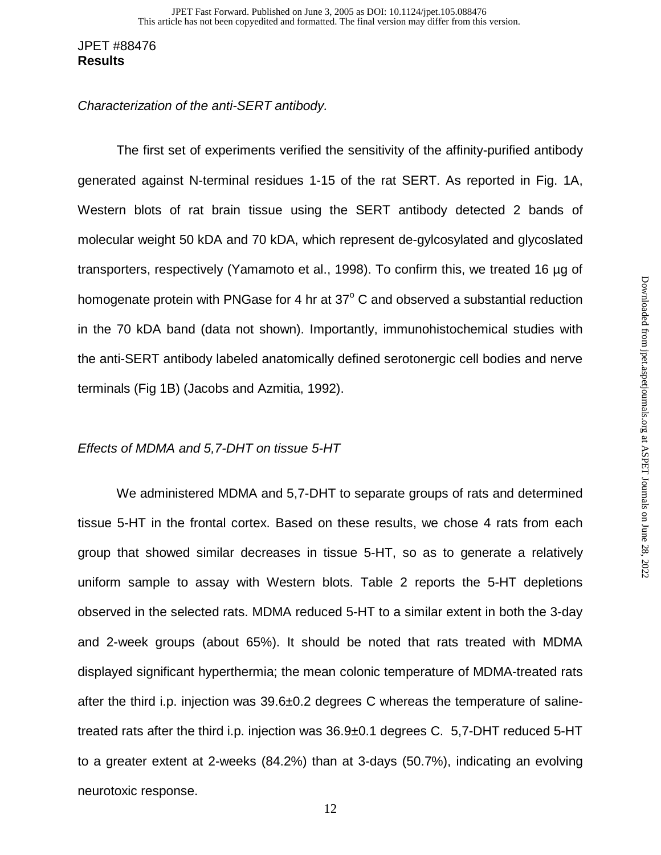## JPET #88476 **Results**

### Characterization of the anti-SERT antibody.

The first set of experiments verified the sensitivity of the affinity-purified antibody generated against N-terminal residues 1-15 of the rat SERT. As reported in Fig. 1A, Western blots of rat brain tissue using the SERT antibody detected 2 bands of molecular weight 50 kDA and 70 kDA, which represent de-gylcosylated and glycoslated transporters, respectively (Yamamoto et al., 1998). To confirm this, we treated 16 µg of homogenate protein with PNGase for 4 hr at  $37^{\circ}$  C and observed a substantial reduction in the 70 kDA band (data not shown). Importantly, immunohistochemical studies with the anti-SERT antibody labeled anatomically defined serotonergic cell bodies and nerve terminals (Fig 1B) (Jacobs and Azmitia, 1992).

## Effects of MDMA and 5,7-DHT on tissue 5-HT

We administered MDMA and 5,7-DHT to separate groups of rats and determined tissue 5-HT in the frontal cortex. Based on these results, we chose 4 rats from each group that showed similar decreases in tissue 5-HT, so as to generate a relatively uniform sample to assay with Western blots. Table 2 reports the 5-HT depletions observed in the selected rats. MDMA reduced 5-HT to a similar extent in both the 3-day and 2-week groups (about 65%). It should be noted that rats treated with MDMA displayed significant hyperthermia; the mean colonic temperature of MDMA-treated rats after the third i.p. injection was  $39.6\pm0.2$  degrees C whereas the temperature of salinetreated rats after the third i.p. injection was 36.9±0.1 degrees C. 5,7-DHT reduced 5-HT to a greater extent at 2-weeks (84.2%) than at 3-days (50.7%), indicating an evolving neurotoxic response.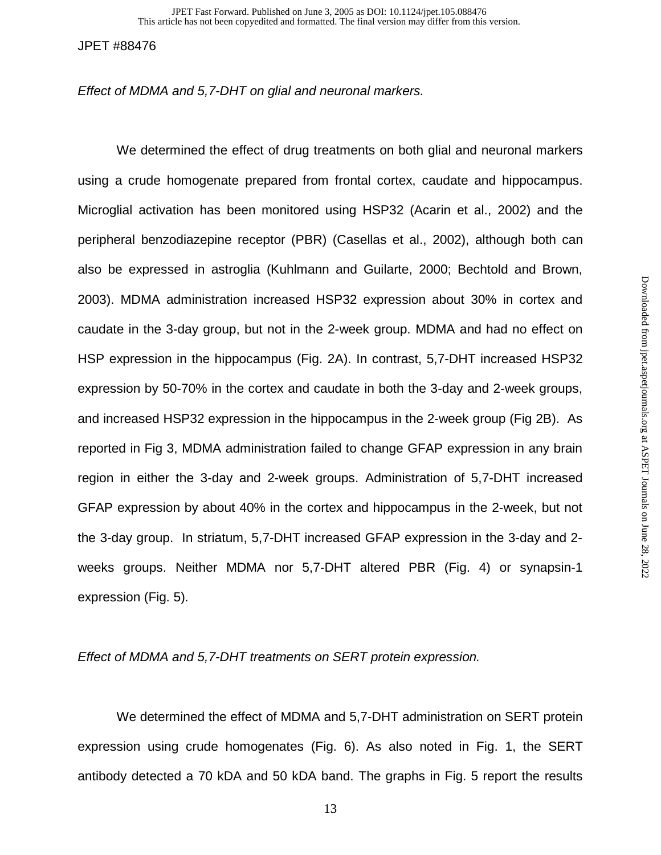Effect of MDMA and 5,7-DHT on glial and neuronal markers.

We determined the effect of drug treatments on both glial and neuronal markers using a crude homogenate prepared from frontal cortex, caudate and hippocampus. Microglial activation has been monitored using HSP32 (Acarin et al., 2002) and the peripheral benzodiazepine receptor (PBR) (Casellas et al., 2002), although both can also be expressed in astroglia (Kuhlmann and Guilarte, 2000; Bechtold and Brown, 2003). MDMA administration increased HSP32 expression about 30% in cortex and caudate in the 3-day group, but not in the 2-week group. MDMA and had no effect on HSP expression in the hippocampus (Fig. 2A). In contrast, 5,7-DHT increased HSP32 expression by 50-70% in the cortex and caudate in both the 3-day and 2-week groups, and increased HSP32 expression in the hippocampus in the 2-week group (Fig 2B). As reported in Fig 3, MDMA administration failed to change GFAP expression in any brain region in either the 3-day and 2-week groups. Administration of 5,7-DHT increased GFAP expression by about 40% in the cortex and hippocampus in the 2-week, but not the 3-day group. In striatum, 5,7-DHT increased GFAP expression in the 3-day and 2 weeks groups. Neither MDMA nor 5,7-DHT altered PBR (Fig. 4) or synapsin-1 expression (Fig. 5).

Effect of MDMA and 5,7-DHT treatments on SERT protein expression.

We determined the effect of MDMA and 5,7-DHT administration on SERT protein expression using crude homogenates (Fig. 6). As also noted in Fig. 1, the SERT antibody detected a 70 kDA and 50 kDA band. The graphs in Fig. 5 report the results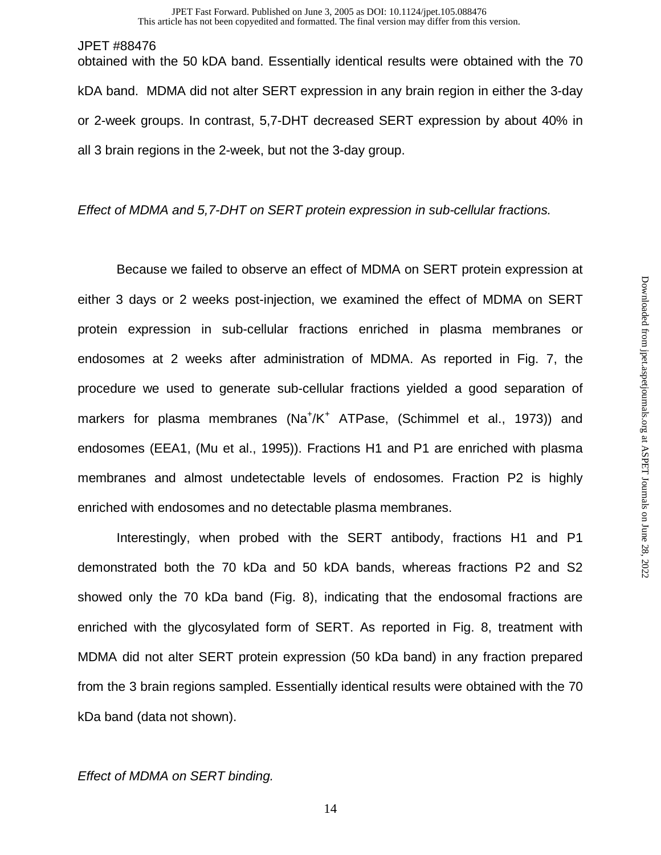obtained with the 50 kDA band. Essentially identical results were obtained with the 70 kDA band. MDMA did not alter SERT expression in any brain region in either the 3-day or 2-week groups. In contrast, 5,7-DHT decreased SERT expression by about 40% in all 3 brain regions in the 2-week, but not the 3-day group.

### Effect of MDMA and 5,7-DHT on SERT protein expression in sub-cellular fractions.

Because we failed to observe an effect of MDMA on SERT protein expression at either 3 days or 2 weeks post-injection, we examined the effect of MDMA on SERT protein expression in sub-cellular fractions enriched in plasma membranes or endosomes at 2 weeks after administration of MDMA. As reported in Fig. 7, the procedure we used to generate sub-cellular fractions yielded a good separation of markers for plasma membranes (Na<sup>+</sup>/K<sup>+</sup> ATPase, (Schimmel et al., 1973)) and endosomes (EEA1, (Mu et al., 1995)). Fractions H1 and P1 are enriched with plasma membranes and almost undetectable levels of endosomes. Fraction P2 is highly enriched with endosomes and no detectable plasma membranes.

Interestingly, when probed with the SERT antibody, fractions H1 and P1 demonstrated both the 70 kDa and 50 kDA bands, whereas fractions P2 and S2 showed only the 70 kDa band (Fig. 8), indicating that the endosomal fractions are enriched with the glycosylated form of SERT. As reported in Fig. 8, treatment with MDMA did not alter SERT protein expression (50 kDa band) in any fraction prepared from the 3 brain regions sampled. Essentially identical results were obtained with the 70 kDa band (data not shown).

## Effect of MDMA on SERT binding.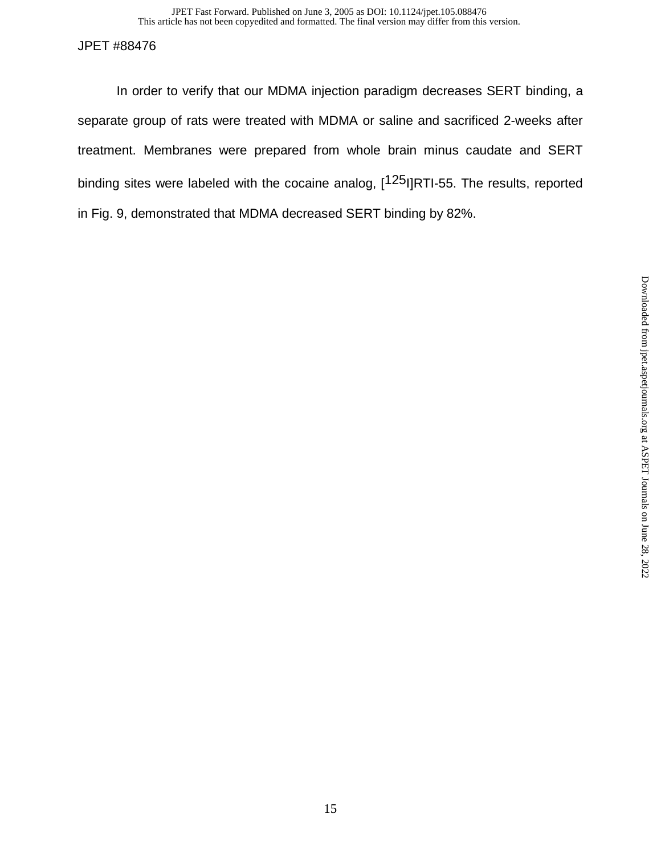This article has not been copyedited and formatted. The final version may differ from this version. JPET Fast Forward. Published on June 3, 2005 as DOI: 10.1124/jpet.105.088476

### JPET #88476

In order to verify that our MDMA injection paradigm decreases SERT binding, a separate group of rats were treated with MDMA or saline and sacrificed 2-weeks after treatment. Membranes were prepared from whole brain minus caudate and SERT binding sites were labeled with the cocaine analog, [<sup>125</sup>I]RTI-55. The results, reported in Fig. 9, demonstrated that MDMA decreased SERT binding by 82%.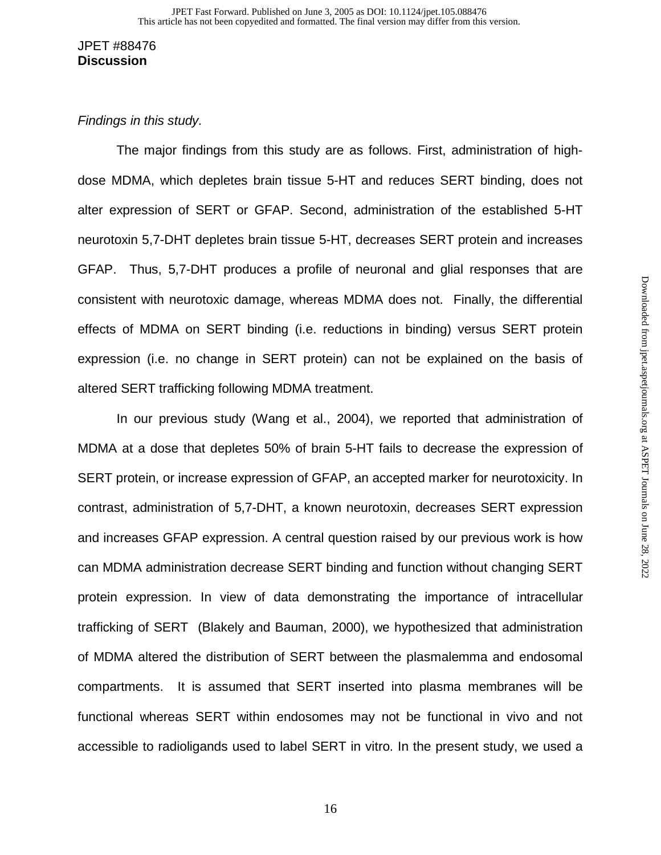### JPET #88476 **Discussion**

### Findings in this study.

 The major findings from this study are as follows. First, administration of highdose MDMA, which depletes brain tissue 5-HT and reduces SERT binding, does not alter expression of SERT or GFAP. Second, administration of the established 5-HT neurotoxin 5,7-DHT depletes brain tissue 5-HT, decreases SERT protein and increases GFAP. Thus, 5,7-DHT produces a profile of neuronal and glial responses that are consistent with neurotoxic damage, whereas MDMA does not. Finally, the differential effects of MDMA on SERT binding (i.e. reductions in binding) versus SERT protein expression (i.e. no change in SERT protein) can not be explained on the basis of altered SERT trafficking following MDMA treatment.

In our previous study (Wang et al., 2004), we reported that administration of MDMA at a dose that depletes 50% of brain 5-HT fails to decrease the expression of SERT protein, or increase expression of GFAP, an accepted marker for neurotoxicity. In contrast, administration of 5,7-DHT, a known neurotoxin, decreases SERT expression and increases GFAP expression. A central question raised by our previous work is how can MDMA administration decrease SERT binding and function without changing SERT protein expression. In view of data demonstrating the importance of intracellular trafficking of SERT (Blakely and Bauman, 2000), we hypothesized that administration of MDMA altered the distribution of SERT between the plasmalemma and endosomal compartments. It is assumed that SERT inserted into plasma membranes will be functional whereas SERT within endosomes may not be functional in vivo and not accessible to radioligands used to label SERT in vitro. In the present study, we used a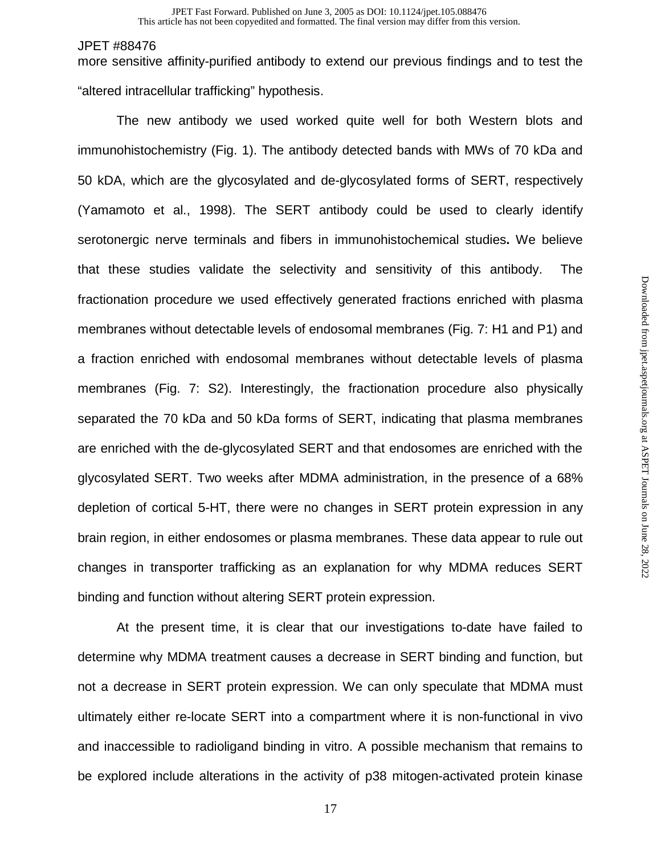more sensitive affinity-purified antibody to extend our previous findings and to test the "altered intracellular trafficking" hypothesis.

 The new antibody we used worked quite well for both Western blots and immunohistochemistry (Fig. 1). The antibody detected bands with MWs of 70 kDa and 50 kDA, which are the glycosylated and de-glycosylated forms of SERT, respectively (Yamamoto et al., 1998). The SERT antibody could be used to clearly identify serotonergic nerve terminals and fibers in immunohistochemical studies**.** We believe that these studies validate the selectivity and sensitivity of this antibody. The fractionation procedure we used effectively generated fractions enriched with plasma membranes without detectable levels of endosomal membranes (Fig. 7: H1 and P1) and a fraction enriched with endosomal membranes without detectable levels of plasma membranes (Fig. 7: S2). Interestingly, the fractionation procedure also physically separated the 70 kDa and 50 kDa forms of SERT, indicating that plasma membranes are enriched with the de-glycosylated SERT and that endosomes are enriched with the glycosylated SERT. Two weeks after MDMA administration, in the presence of a 68% depletion of cortical 5-HT, there were no changes in SERT protein expression in any brain region, in either endosomes or plasma membranes. These data appear to rule out changes in transporter trafficking as an explanation for why MDMA reduces SERT binding and function without altering SERT protein expression.

At the present time, it is clear that our investigations to-date have failed to determine why MDMA treatment causes a decrease in SERT binding and function, but not a decrease in SERT protein expression. We can only speculate that MDMA must ultimately either re-locate SERT into a compartment where it is non-functional in vivo and inaccessible to radioligand binding in vitro. A possible mechanism that remains to be explored include alterations in the activity of p38 mitogen-activated protein kinase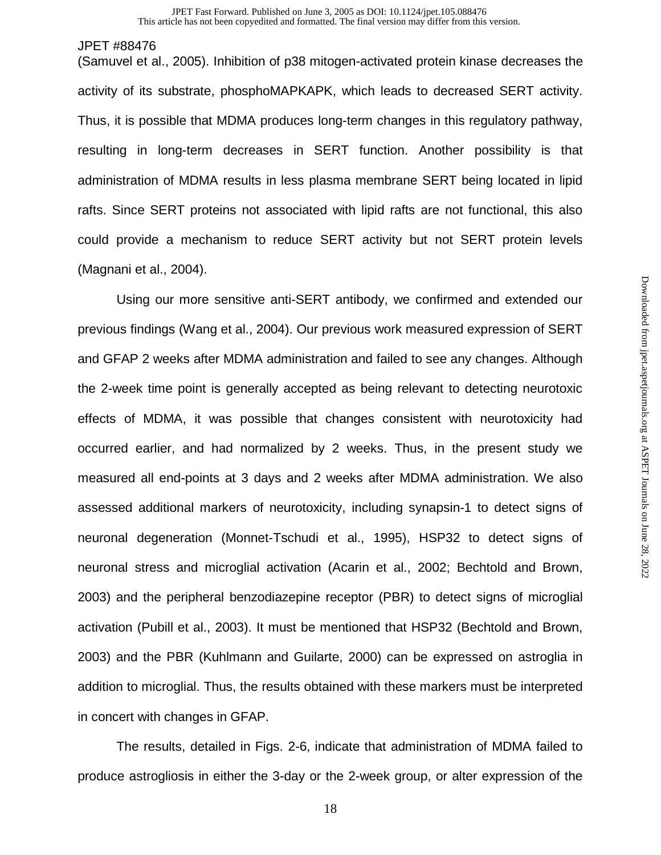(Samuvel et al., 2005). Inhibition of p38 mitogen-activated protein kinase decreases the activity of its substrate, phosphoMAPKAPK, which leads to decreased SERT activity. Thus, it is possible that MDMA produces long-term changes in this regulatory pathway, resulting in long-term decreases in SERT function. Another possibility is that administration of MDMA results in less plasma membrane SERT being located in lipid rafts. Since SERT proteins not associated with lipid rafts are not functional, this also could provide a mechanism to reduce SERT activity but not SERT protein levels (Magnani et al., 2004).

Using our more sensitive anti-SERT antibody, we confirmed and extended our previous findings (Wang et al., 2004). Our previous work measured expression of SERT and GFAP 2 weeks after MDMA administration and failed to see any changes. Although the 2-week time point is generally accepted as being relevant to detecting neurotoxic effects of MDMA, it was possible that changes consistent with neurotoxicity had occurred earlier, and had normalized by 2 weeks. Thus, in the present study we measured all end-points at 3 days and 2 weeks after MDMA administration. We also assessed additional markers of neurotoxicity, including synapsin-1 to detect signs of neuronal degeneration (Monnet-Tschudi et al., 1995), HSP32 to detect signs of neuronal stress and microglial activation (Acarin et al., 2002; Bechtold and Brown, 2003) and the peripheral benzodiazepine receptor (PBR) to detect signs of microglial activation (Pubill et al., 2003). It must be mentioned that HSP32 (Bechtold and Brown, 2003) and the PBR (Kuhlmann and Guilarte, 2000) can be expressed on astroglia in addition to microglial. Thus, the results obtained with these markers must be interpreted in concert with changes in GFAP.

The results, detailed in Figs. 2-6, indicate that administration of MDMA failed to produce astrogliosis in either the 3-day or the 2-week group, or alter expression of the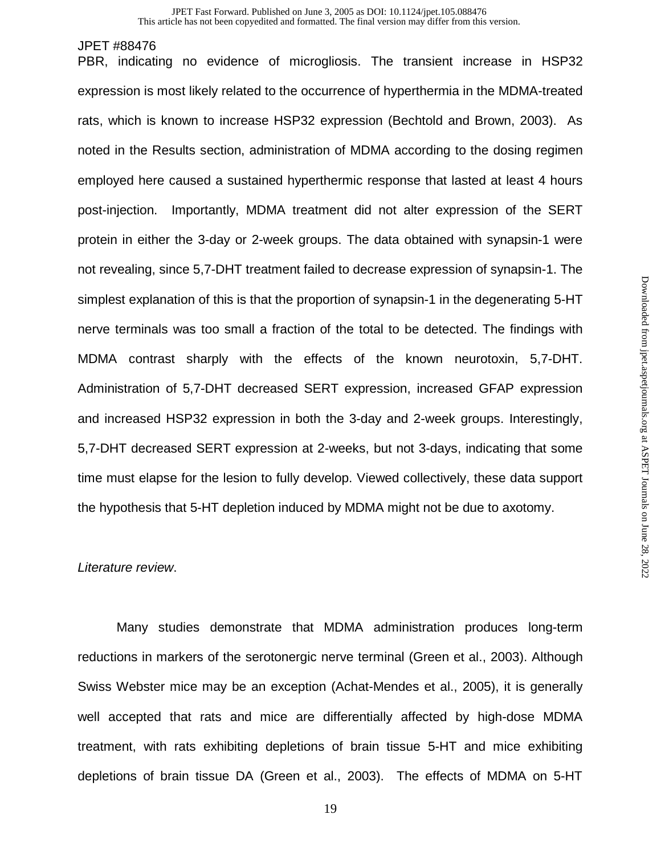PBR, indicating no evidence of microgliosis. The transient increase in HSP32 expression is most likely related to the occurrence of hyperthermia in the MDMA-treated rats, which is known to increase HSP32 expression (Bechtold and Brown, 2003). As noted in the Results section, administration of MDMA according to the dosing regimen employed here caused a sustained hyperthermic response that lasted at least 4 hours post-injection. Importantly, MDMA treatment did not alter expression of the SERT protein in either the 3-day or 2-week groups. The data obtained with synapsin-1 were not revealing, since 5,7-DHT treatment failed to decrease expression of synapsin-1. The simplest explanation of this is that the proportion of synapsin-1 in the degenerating 5-HT nerve terminals was too small a fraction of the total to be detected. The findings with MDMA contrast sharply with the effects of the known neurotoxin, 5,7-DHT. Administration of 5,7-DHT decreased SERT expression, increased GFAP expression and increased HSP32 expression in both the 3-day and 2-week groups. Interestingly, 5,7-DHT decreased SERT expression at 2-weeks, but not 3-days, indicating that some time must elapse for the lesion to fully develop. Viewed collectively, these data support the hypothesis that 5-HT depletion induced by MDMA might not be due to axotomy.

### Literature review.

Many studies demonstrate that MDMA administration produces long-term reductions in markers of the serotonergic nerve terminal (Green et al., 2003). Although Swiss Webster mice may be an exception (Achat-Mendes et al., 2005), it is generally well accepted that rats and mice are differentially affected by high-dose MDMA treatment, with rats exhibiting depletions of brain tissue 5-HT and mice exhibiting depletions of brain tissue DA (Green et al., 2003). The effects of MDMA on 5-HT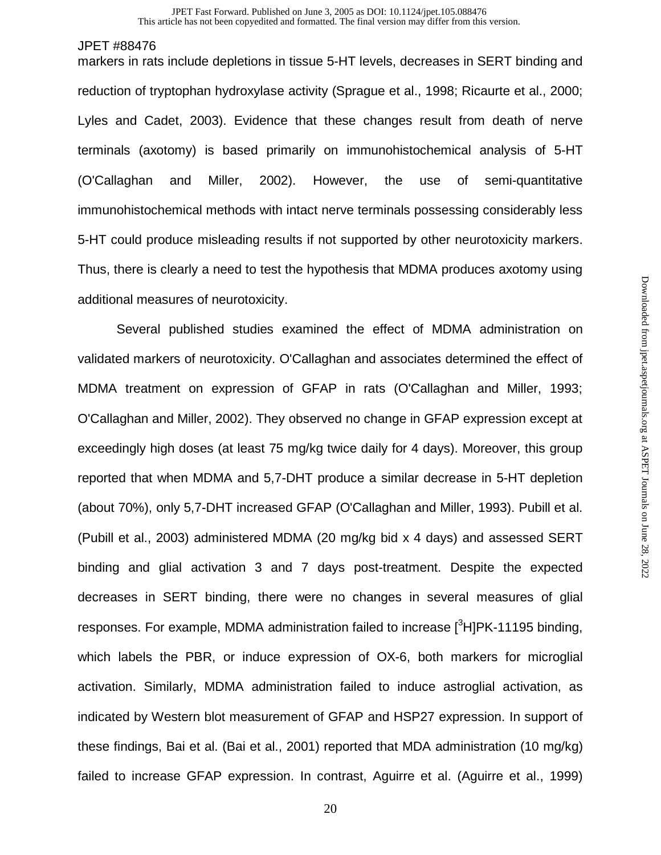markers in rats include depletions in tissue 5-HT levels, decreases in SERT binding and reduction of tryptophan hydroxylase activity (Sprague et al., 1998; Ricaurte et al., 2000; Lyles and Cadet, 2003). Evidence that these changes result from death of nerve terminals (axotomy) is based primarily on immunohistochemical analysis of 5-HT (O'Callaghan and Miller, 2002). However, the use of semi-quantitative immunohistochemical methods with intact nerve terminals possessing considerably less 5-HT could produce misleading results if not supported by other neurotoxicity markers. Thus, there is clearly a need to test the hypothesis that MDMA produces axotomy using additional measures of neurotoxicity.

 Several published studies examined the effect of MDMA administration on validated markers of neurotoxicity. O'Callaghan and associates determined the effect of MDMA treatment on expression of GFAP in rats (O'Callaghan and Miller, 1993; O'Callaghan and Miller, 2002). They observed no change in GFAP expression except at exceedingly high doses (at least 75 mg/kg twice daily for 4 days). Moreover, this group reported that when MDMA and 5,7-DHT produce a similar decrease in 5-HT depletion (about 70%), only 5,7-DHT increased GFAP (O'Callaghan and Miller, 1993). Pubill et al. (Pubill et al., 2003) administered MDMA (20 mg/kg bid x 4 days) and assessed SERT binding and glial activation 3 and 7 days post-treatment. Despite the expected decreases in SERT binding, there were no changes in several measures of glial responses. For example, MDMA administration failed to increase [<sup>3</sup>H]PK-11195 binding, which labels the PBR, or induce expression of OX-6, both markers for microglial activation. Similarly, MDMA administration failed to induce astroglial activation, as indicated by Western blot measurement of GFAP and HSP27 expression. In support of these findings, Bai et al. (Bai et al., 2001) reported that MDA administration (10 mg/kg) failed to increase GFAP expression. In contrast, Aguirre et al. (Aguirre et al., 1999)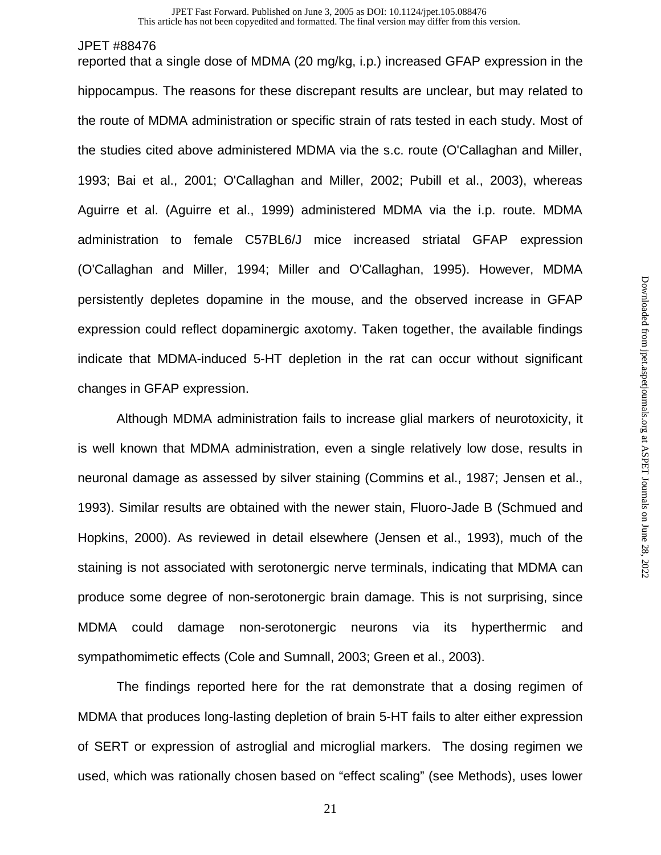reported that a single dose of MDMA (20 mg/kg, i.p.) increased GFAP expression in the hippocampus. The reasons for these discrepant results are unclear, but may related to the route of MDMA administration or specific strain of rats tested in each study. Most of the studies cited above administered MDMA via the s.c. route (O'Callaghan and Miller, 1993; Bai et al., 2001; O'Callaghan and Miller, 2002; Pubill et al., 2003), whereas Aguirre et al. (Aguirre et al., 1999) administered MDMA via the i.p. route. MDMA administration to female C57BL6/J mice increased striatal GFAP expression (O'Callaghan and Miller, 1994; Miller and O'Callaghan, 1995). However, MDMA persistently depletes dopamine in the mouse, and the observed increase in GFAP expression could reflect dopaminergic axotomy. Taken together, the available findings indicate that MDMA-induced 5-HT depletion in the rat can occur without significant changes in GFAP expression.

 Although MDMA administration fails to increase glial markers of neurotoxicity, it is well known that MDMA administration, even a single relatively low dose, results in neuronal damage as assessed by silver staining (Commins et al., 1987; Jensen et al., 1993). Similar results are obtained with the newer stain, Fluoro-Jade B (Schmued and Hopkins, 2000). As reviewed in detail elsewhere (Jensen et al., 1993), much of the staining is not associated with serotonergic nerve terminals, indicating that MDMA can produce some degree of non-serotonergic brain damage. This is not surprising, since MDMA could damage non-serotonergic neurons via its hyperthermic and sympathomimetic effects (Cole and Sumnall, 2003; Green et al., 2003).

 The findings reported here for the rat demonstrate that a dosing regimen of MDMA that produces long-lasting depletion of brain 5-HT fails to alter either expression of SERT or expression of astroglial and microglial markers. The dosing regimen we used, which was rationally chosen based on "effect scaling" (see Methods), uses lower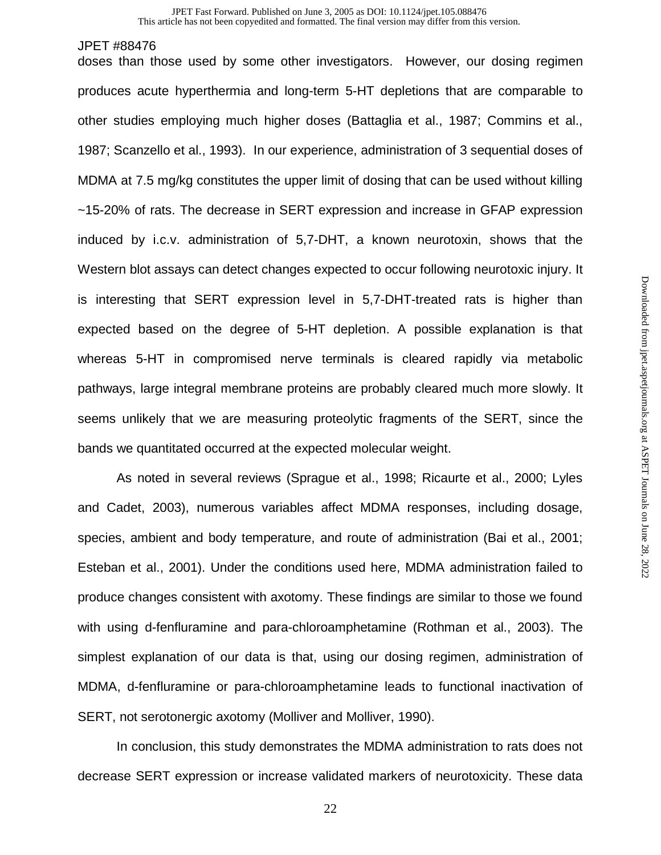doses than those used by some other investigators. However, our dosing regimen produces acute hyperthermia and long-term 5-HT depletions that are comparable to other studies employing much higher doses (Battaglia et al., 1987; Commins et al., 1987; Scanzello et al., 1993). In our experience, administration of 3 sequential doses of MDMA at 7.5 mg/kg constitutes the upper limit of dosing that can be used without killing ~15-20% of rats. The decrease in SERT expression and increase in GFAP expression induced by i.c.v. administration of 5,7-DHT, a known neurotoxin, shows that the Western blot assays can detect changes expected to occur following neurotoxic injury. It is interesting that SERT expression level in 5,7-DHT-treated rats is higher than expected based on the degree of 5-HT depletion. A possible explanation is that whereas 5-HT in compromised nerve terminals is cleared rapidly via metabolic pathways, large integral membrane proteins are probably cleared much more slowly. It seems unlikely that we are measuring proteolytic fragments of the SERT, since the bands we quantitated occurred at the expected molecular weight.

 As noted in several reviews (Sprague et al., 1998; Ricaurte et al., 2000; Lyles and Cadet, 2003), numerous variables affect MDMA responses, including dosage, species, ambient and body temperature, and route of administration (Bai et al., 2001; Esteban et al., 2001). Under the conditions used here, MDMA administration failed to produce changes consistent with axotomy. These findings are similar to those we found with using d-fenfluramine and para-chloroamphetamine (Rothman et al., 2003). The simplest explanation of our data is that, using our dosing regimen, administration of MDMA, d-fenfluramine or para-chloroamphetamine leads to functional inactivation of SERT, not serotonergic axotomy (Molliver and Molliver, 1990).

 In conclusion, this study demonstrates the MDMA administration to rats does not decrease SERT expression or increase validated markers of neurotoxicity. These data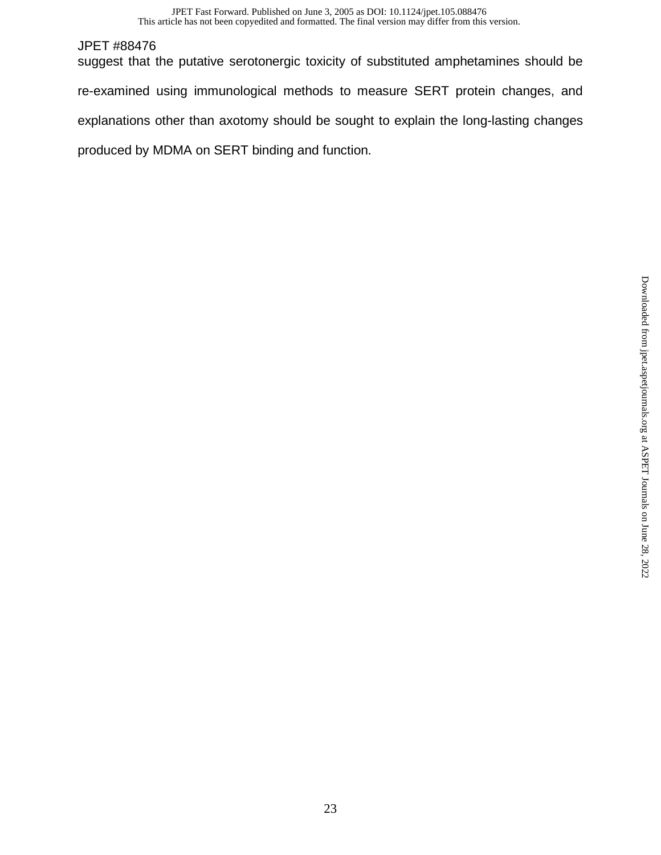suggest that the putative serotonergic toxicity of substituted amphetamines should be re-examined using immunological methods to measure SERT protein changes, and explanations other than axotomy should be sought to explain the long-lasting changes produced by MDMA on SERT binding and function.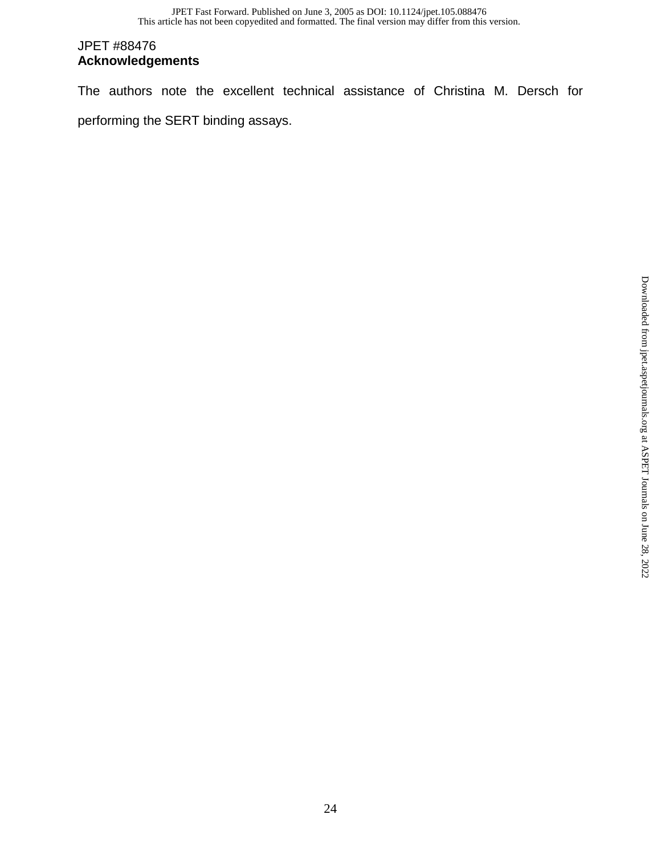## JPET #88476 **Acknowledgements**

The authors note the excellent technical assistance of Christina M. Dersch for performing the SERT binding assays.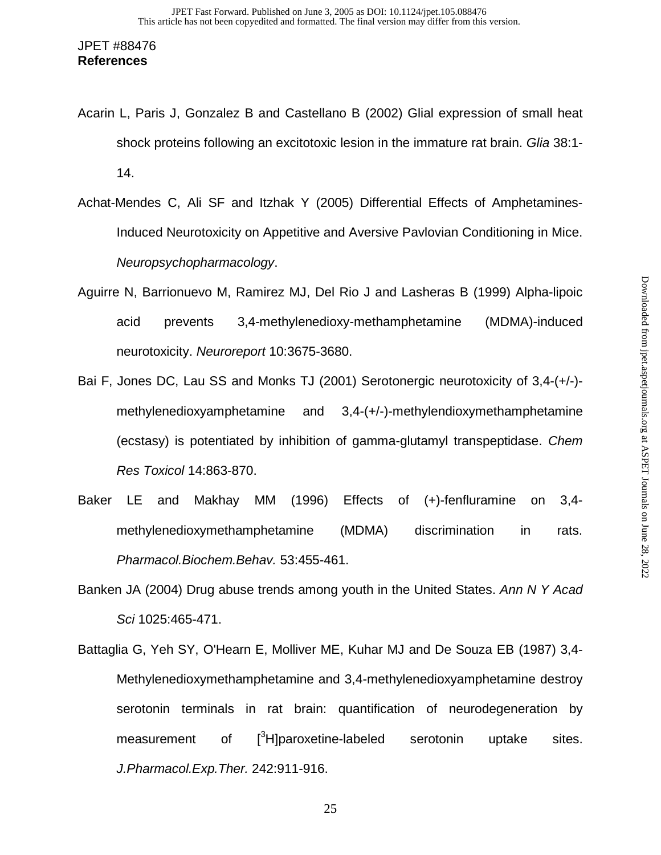- Acarin L, Paris J, Gonzalez B and Castellano B (2002) Glial expression of small heat shock proteins following an excitotoxic lesion in the immature rat brain. Glia 38:1- 14.
- Achat-Mendes C, Ali SF and Itzhak Y (2005) Differential Effects of Amphetamines-Induced Neurotoxicity on Appetitive and Aversive Pavlovian Conditioning in Mice. Neuropsychopharmacology.
- Aguirre N, Barrionuevo M, Ramirez MJ, Del Rio J and Lasheras B (1999) Alpha-lipoic acid prevents 3,4-methylenedioxy-methamphetamine (MDMA)-induced neurotoxicity. Neuroreport 10:3675-3680.
- Bai F, Jones DC, Lau SS and Monks TJ (2001) Serotonergic neurotoxicity of 3,4-(+/-) methylenedioxyamphetamine and 3,4-(+/-)-methylendioxymethamphetamine (ecstasy) is potentiated by inhibition of gamma-glutamyl transpeptidase. Chem Res Toxicol 14:863-870.
- Baker LE and Makhay MM (1996) Effects of (+)-fenfluramine on 3,4 methylenedioxymethamphetamine (MDMA) discrimination in rats. Pharmacol.Biochem.Behav. 53:455-461.
- Banken JA (2004) Drug abuse trends among youth in the United States. Ann N Y Acad Sci 1025:465-471.
- Battaglia G, Yeh SY, O'Hearn E, Molliver ME, Kuhar MJ and De Souza EB (1987) 3,4- Methylenedioxymethamphetamine and 3,4-methylenedioxyamphetamine destroy serotonin terminals in rat brain: quantification of neurodegeneration by measurement of  $\lceil \frac{3}{2} H \rceil$ paroxetine-labeled serotonin uptake sites. J.Pharmacol.Exp.Ther. 242:911-916.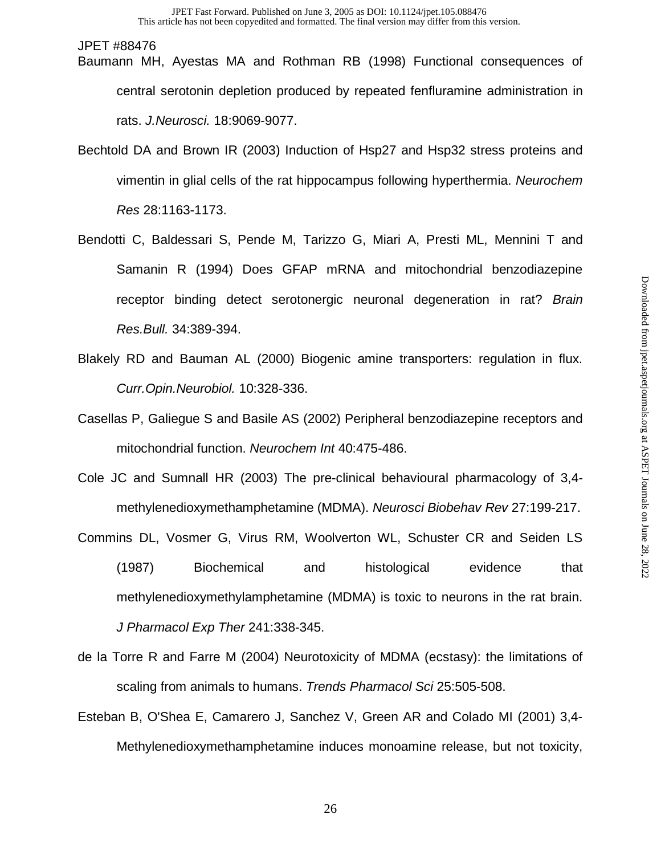JPET #88476 Baumann MH, Ayestas MA and Rothman RB (1998) Functional consequences of central serotonin depletion produced by repeated fenfluramine administration in rats. J.Neurosci. 18:9069-9077.

- Bechtold DA and Brown IR (2003) Induction of Hsp27 and Hsp32 stress proteins and vimentin in glial cells of the rat hippocampus following hyperthermia. Neurochem Res 28:1163-1173.
- Bendotti C, Baldessari S, Pende M, Tarizzo G, Miari A, Presti ML, Mennini T and Samanin R (1994) Does GFAP mRNA and mitochondrial benzodiazepine receptor binding detect serotonergic neuronal degeneration in rat? Brain Res.Bull. 34:389-394.
- Blakely RD and Bauman AL (2000) Biogenic amine transporters: regulation in flux. Curr.Opin.Neurobiol. 10:328-336.
- Casellas P, Galiegue S and Basile AS (2002) Peripheral benzodiazepine receptors and mitochondrial function. Neurochem Int 40:475-486.
- Cole JC and Sumnall HR (2003) The pre-clinical behavioural pharmacology of 3,4 methylenedioxymethamphetamine (MDMA). Neurosci Biobehav Rev 27:199-217.
- Commins DL, Vosmer G, Virus RM, Woolverton WL, Schuster CR and Seiden LS (1987) Biochemical and histological evidence that methylenedioxymethylamphetamine (MDMA) is toxic to neurons in the rat brain. J Pharmacol Exp Ther 241:338-345.
- de la Torre R and Farre M (2004) Neurotoxicity of MDMA (ecstasy): the limitations of scaling from animals to humans. Trends Pharmacol Sci 25:505-508.
- Esteban B, O'Shea E, Camarero J, Sanchez V, Green AR and Colado MI (2001) 3,4- Methylenedioxymethamphetamine induces monoamine release, but not toxicity,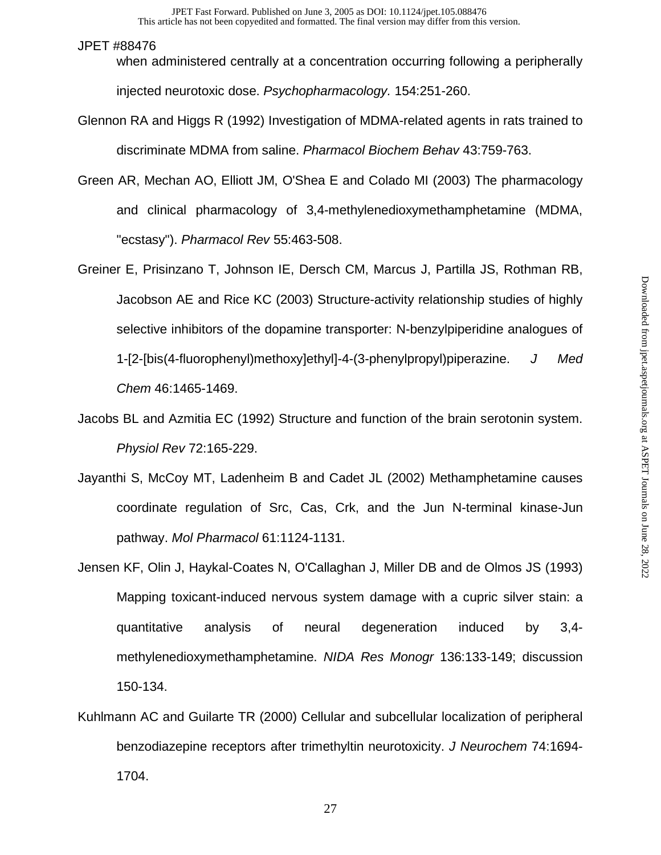when administered centrally at a concentration occurring following a peripherally injected neurotoxic dose. Psychopharmacology. 154:251-260.

- Glennon RA and Higgs R (1992) Investigation of MDMA-related agents in rats trained to discriminate MDMA from saline. Pharmacol Biochem Behav 43:759-763.
- Green AR, Mechan AO, Elliott JM, O'Shea E and Colado MI (2003) The pharmacology and clinical pharmacology of 3,4-methylenedioxymethamphetamine (MDMA, "ecstasy"). Pharmacol Rev 55:463-508.
- Greiner E, Prisinzano T, Johnson IE, Dersch CM, Marcus J, Partilla JS, Rothman RB, Jacobson AE and Rice KC (2003) Structure-activity relationship studies of highly selective inhibitors of the dopamine transporter: N-benzylpiperidine analogues of 1-[2-[bis(4-fluorophenyl)methoxy]ethyl]-4-(3-phenylpropyl)piperazine. J Med Chem 46:1465-1469.
- Jacobs BL and Azmitia EC (1992) Structure and function of the brain serotonin system. Physiol Rev 72:165-229.
- Jayanthi S, McCoy MT, Ladenheim B and Cadet JL (2002) Methamphetamine causes coordinate regulation of Src, Cas, Crk, and the Jun N-terminal kinase-Jun pathway. Mol Pharmacol 61:1124-1131.
- Jensen KF, Olin J, Haykal-Coates N, O'Callaghan J, Miller DB and de Olmos JS (1993) Mapping toxicant-induced nervous system damage with a cupric silver stain: a quantitative analysis of neural degeneration induced by 3,4 methylenedioxymethamphetamine. NIDA Res Monogr 136:133-149; discussion 150-134.
- Kuhlmann AC and Guilarte TR (2000) Cellular and subcellular localization of peripheral benzodiazepine receptors after trimethyltin neurotoxicity. J Neurochem 74:1694- 1704.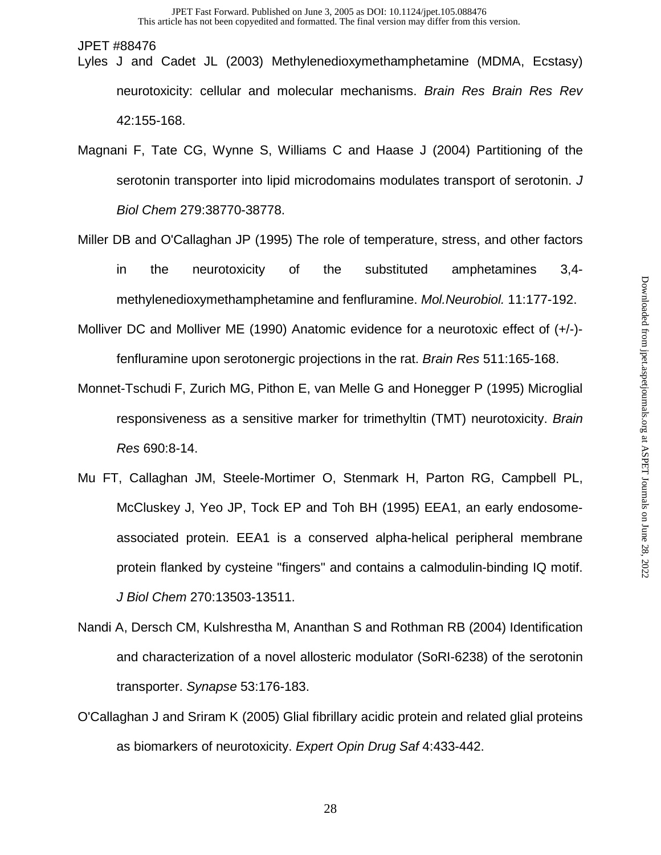- Lyles J and Cadet JL (2003) Methylenedioxymethamphetamine (MDMA, Ecstasy) neurotoxicity: cellular and molecular mechanisms. Brain Res Brain Res Rev 42:155-168.
- Magnani F, Tate CG, Wynne S, Williams C and Haase J (2004) Partitioning of the serotonin transporter into lipid microdomains modulates transport of serotonin. J Biol Chem 279:38770-38778.
- Miller DB and O'Callaghan JP (1995) The role of temperature, stress, and other factors in the neurotoxicity of the substituted amphetamines 3,4 methylenedioxymethamphetamine and fenfluramine. Mol.Neurobiol. 11:177-192.
- Molliver DC and Molliver ME (1990) Anatomic evidence for a neurotoxic effect of (+/-) fenfluramine upon serotonergic projections in the rat. Brain Res 511:165-168.
- Monnet-Tschudi F, Zurich MG, Pithon E, van Melle G and Honegger P (1995) Microglial responsiveness as a sensitive marker for trimethyltin (TMT) neurotoxicity. Brain Res 690:8-14.
- Mu FT, Callaghan JM, Steele-Mortimer O, Stenmark H, Parton RG, Campbell PL, McCluskey J, Yeo JP, Tock EP and Toh BH (1995) EEA1, an early endosomeassociated protein. EEA1 is a conserved alpha-helical peripheral membrane protein flanked by cysteine "fingers" and contains a calmodulin-binding IQ motif. J Biol Chem 270:13503-13511.
- Nandi A, Dersch CM, Kulshrestha M, Ananthan S and Rothman RB (2004) Identification and characterization of a novel allosteric modulator (SoRI-6238) of the serotonin transporter. Synapse 53:176-183.
- O'Callaghan J and Sriram K (2005) Glial fibrillary acidic protein and related glial proteins as biomarkers of neurotoxicity. Expert Opin Drug Saf 4:433-442.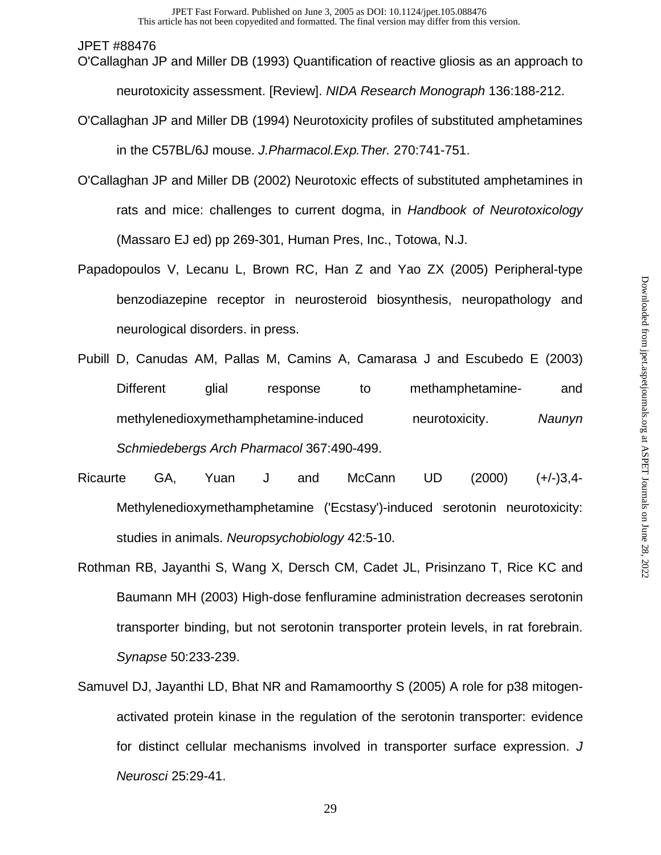O'Callaghan JP and Miller DB (1993) Quantification of reactive gliosis as an approach to

neurotoxicity assessment. [Review]. NIDA Research Monograph 136:188-212.

- O'Callaghan JP and Miller DB (1994) Neurotoxicity profiles of substituted amphetamines in the C57BL/6J mouse. J.Pharmacol.Exp.Ther. 270:741-751.
- O'Callaghan JP and Miller DB (2002) Neurotoxic effects of substituted amphetamines in rats and mice: challenges to current dogma, in Handbook of Neurotoxicology (Massaro EJ ed) pp 269-301, Human Pres, Inc., Totowa, N.J.
- Papadopoulos V, Lecanu L, Brown RC, Han Z and Yao ZX (2005) Peripheral-type benzodiazepine receptor in neurosteroid biosynthesis, neuropathology and neurological disorders. in press.
- Pubill D, Canudas AM, Pallas M, Camins A, Camarasa J and Escubedo E (2003) Different glial response to methamphetamine- and methylenedioxymethamphetamine-induced neurotoxicity. Naunyn Schmiedebergs Arch Pharmacol 367:490-499.
- Ricaurte GA, Yuan J and McCann UD (2000) (+/-)3,4- Methylenedioxymethamphetamine ('Ecstasy')-induced serotonin neurotoxicity: studies in animals. Neuropsychobiology 42:5-10.
- Rothman RB, Jayanthi S, Wang X, Dersch CM, Cadet JL, Prisinzano T, Rice KC and Baumann MH (2003) High-dose fenfluramine administration decreases serotonin transporter binding, but not serotonin transporter protein levels, in rat forebrain. Synapse 50:233-239.
- Samuvel DJ, Jayanthi LD, Bhat NR and Ramamoorthy S (2005) A role for p38 mitogenactivated protein kinase in the regulation of the serotonin transporter: evidence for distinct cellular mechanisms involved in transporter surface expression. J Neurosci 25:29-41.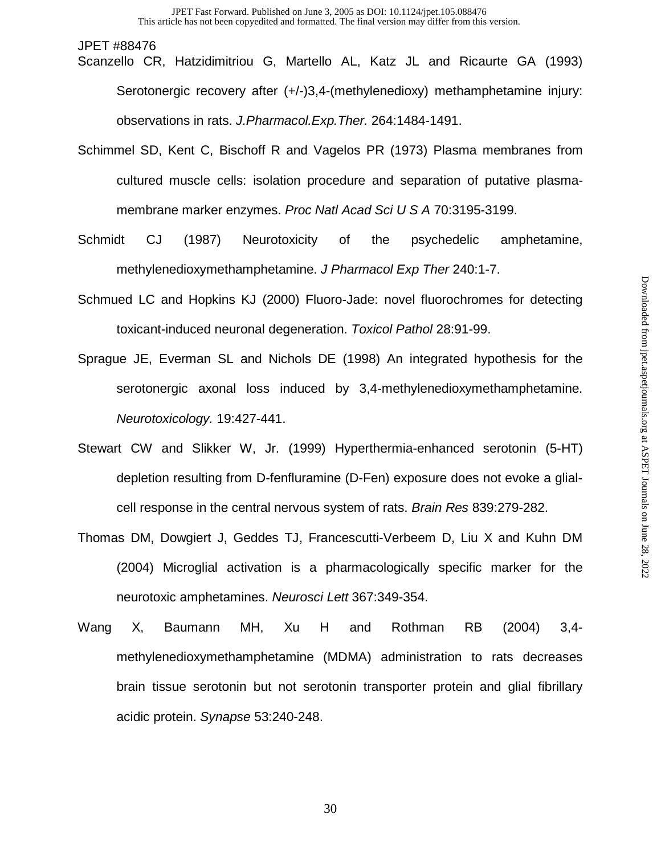- Scanzello CR, Hatzidimitriou G, Martello AL, Katz JL and Ricaurte GA (1993) Serotonergic recovery after (+/-)3,4-(methylenedioxy) methamphetamine injury: observations in rats. J.Pharmacol.Exp.Ther. 264:1484-1491.
- Schimmel SD, Kent C, Bischoff R and Vagelos PR (1973) Plasma membranes from cultured muscle cells: isolation procedure and separation of putative plasmamembrane marker enzymes. Proc Natl Acad Sci U S A 70:3195-3199.
- Schmidt CJ (1987) Neurotoxicity of the psychedelic amphetamine, methylenedioxymethamphetamine. J Pharmacol Exp Ther 240:1-7.
- Schmued LC and Hopkins KJ (2000) Fluoro-Jade: novel fluorochromes for detecting toxicant-induced neuronal degeneration. Toxicol Pathol 28:91-99.
- Sprague JE, Everman SL and Nichols DE (1998) An integrated hypothesis for the serotonergic axonal loss induced by 3,4-methylenedioxymethamphetamine. Neurotoxicology. 19:427-441.
- Stewart CW and Slikker W, Jr. (1999) Hyperthermia-enhanced serotonin (5-HT) depletion resulting from D-fenfluramine (D-Fen) exposure does not evoke a glialcell response in the central nervous system of rats. Brain Res 839:279-282.
- Thomas DM, Dowgiert J, Geddes TJ, Francescutti-Verbeem D, Liu X and Kuhn DM (2004) Microglial activation is a pharmacologically specific marker for the neurotoxic amphetamines. Neurosci Lett 367:349-354.
- Wang X, Baumann MH, Xu H and Rothman RB (2004) 3,4 methylenedioxymethamphetamine (MDMA) administration to rats decreases brain tissue serotonin but not serotonin transporter protein and glial fibrillary acidic protein. Synapse 53:240-248.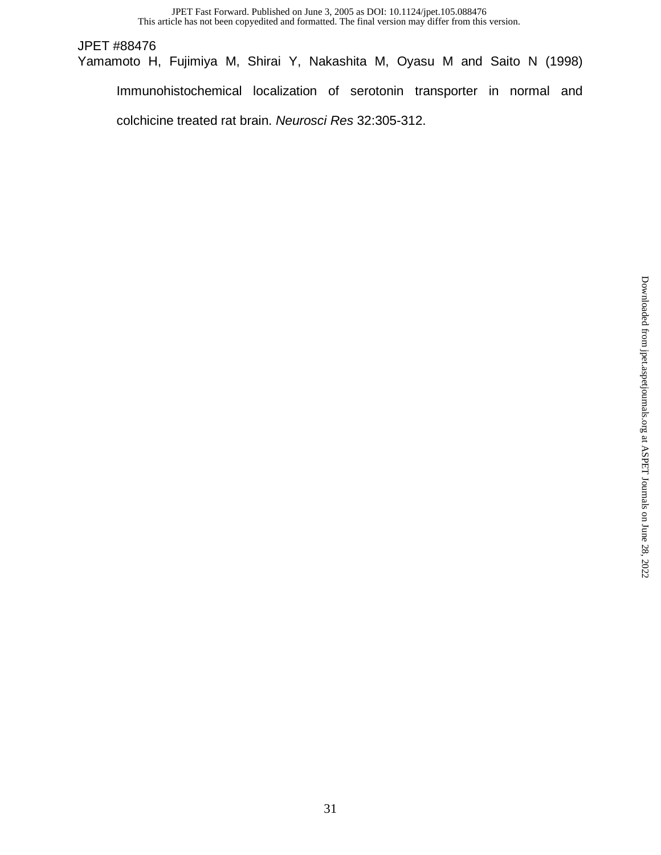This article has not been copyedited and formatted. The final version may differ from this version. JPET Fast Forward. Published on June 3, 2005 as DOI: 10.1124/jpet.105.088476

JPET #88476 Yamamoto H, Fujimiya M, Shirai Y, Nakashita M, Oyasu M and Saito N (1998) Immunohistochemical localization of serotonin transporter in normal and colchicine treated rat brain. Neurosci Res 32:305-312.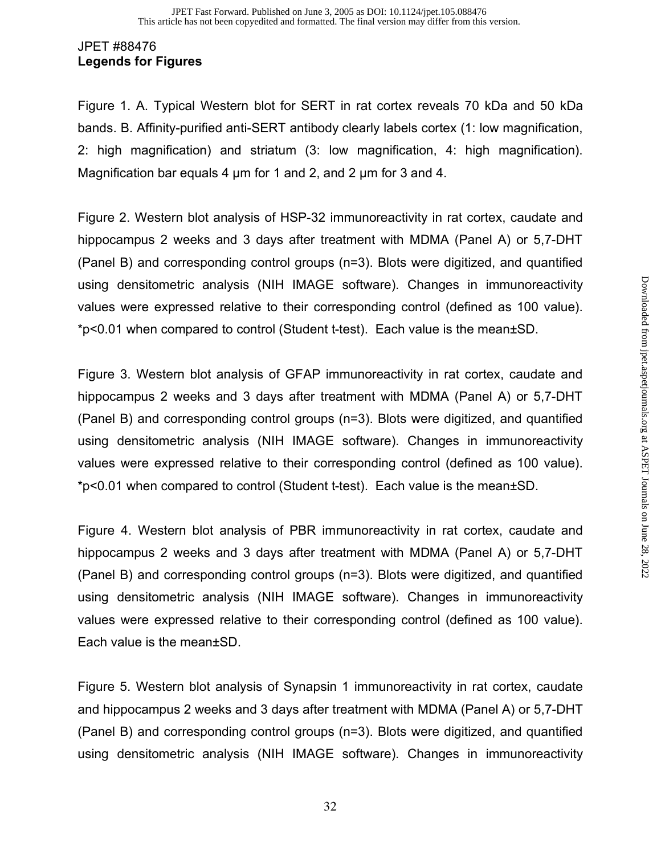## JPET #88476 **Legends for Figures**

Figure 1. A. Typical Western blot for SERT in rat cortex reveals 70 kDa and 50 kDa bands. B. Affinity-purified anti-SERT antibody clearly labels cortex (1: low magnification, 2: high magnification) and striatum (3: low magnification, 4: high magnification). Magnification bar equals 4  $\mu$ m for 1 and 2, and 2  $\mu$ m for 3 and 4.

Figure 2. Western blot analysis of HSP-32 immunoreactivity in rat cortex, caudate and hippocampus 2 weeks and 3 days after treatment with MDMA (Panel A) or 5,7-DHT (Panel B) and corresponding control groups (n=3). Blots were digitized, and quantified using densitometric analysis (NIH IMAGE software). Changes in immunoreactivity values were expressed relative to their corresponding control (defined as 100 value). \*p<0.01 when compared to control (Student t-test). Each value is the mean±SD.

Figure 3. Western blot analysis of GFAP immunoreactivity in rat cortex, caudate and hippocampus 2 weeks and 3 days after treatment with MDMA (Panel A) or 5,7-DHT (Panel B) and corresponding control groups (n=3). Blots were digitized, and quantified using densitometric analysis (NIH IMAGE software). Changes in immunoreactivity values were expressed relative to their corresponding control (defined as 100 value). \*p<0.01 when compared to control (Student t-test). Each value is the mean±SD.

Figure 4. Western blot analysis of PBR immunoreactivity in rat cortex, caudate and hippocampus 2 weeks and 3 days after treatment with MDMA (Panel A) or 5,7-DHT (Panel B) and corresponding control groups (n=3). Blots were digitized, and quantified using densitometric analysis (NIH IMAGE software). Changes in immunoreactivity values were expressed relative to their corresponding control (defined as 100 value). Each value is the mean±SD.

Figure 5. Western blot analysis of Synapsin 1 immunoreactivity in rat cortex, caudate and hippocampus 2 weeks and 3 days after treatment with MDMA (Panel A) or 5,7-DHT (Panel B) and corresponding control groups (n=3). Blots were digitized, and quantified using densitometric analysis (NIH IMAGE software). Changes in immunoreactivity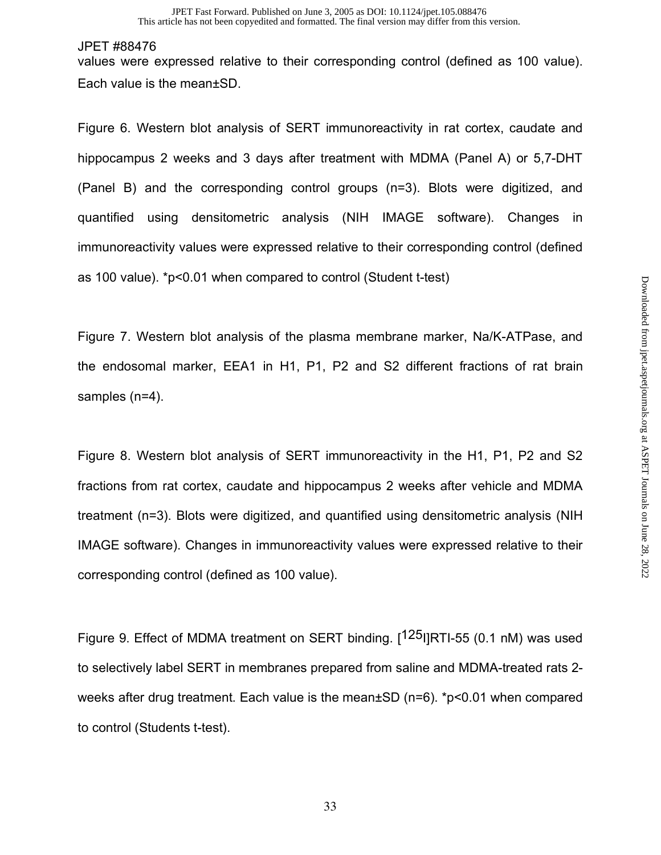values were expressed relative to their corresponding control (defined as 100 value). Each value is the mean±SD.

Figure 6. Western blot analysis of SERT immunoreactivity in rat cortex, caudate and hippocampus 2 weeks and 3 days after treatment with MDMA (Panel A) or 5,7-DHT (Panel B) and the corresponding control groups (n=3). Blots were digitized, and quantified using densitometric analysis (NIH IMAGE software). Changes in immunoreactivity values were expressed relative to their corresponding control (defined as 100 value). \*p<0.01 when compared to control (Student t-test)

Figure 7. Western blot analysis of the plasma membrane marker, Na/K-ATPase, and the endosomal marker, EEA1 in H1, P1, P2 and S2 different fractions of rat brain samples (n=4).

Figure 8. Western blot analysis of SERT immunoreactivity in the H1, P1, P2 and S2 fractions from rat cortex, caudate and hippocampus 2 weeks after vehicle and MDMA treatment (n=3). Blots were digitized, and quantified using densitometric analysis (NIH IMAGE software). Changes in immunoreactivity values were expressed relative to their corresponding control (defined as 100 value).

Figure 9. Effect of MDMA treatment on SERT binding. [125||RTI-55 (0.1 nM) was used to selectively label SERT in membranes prepared from saline and MDMA-treated rats 2 weeks after drug treatment. Each value is the mean±SD (n=6). \*p<0.01 when compared to control (Students t-test).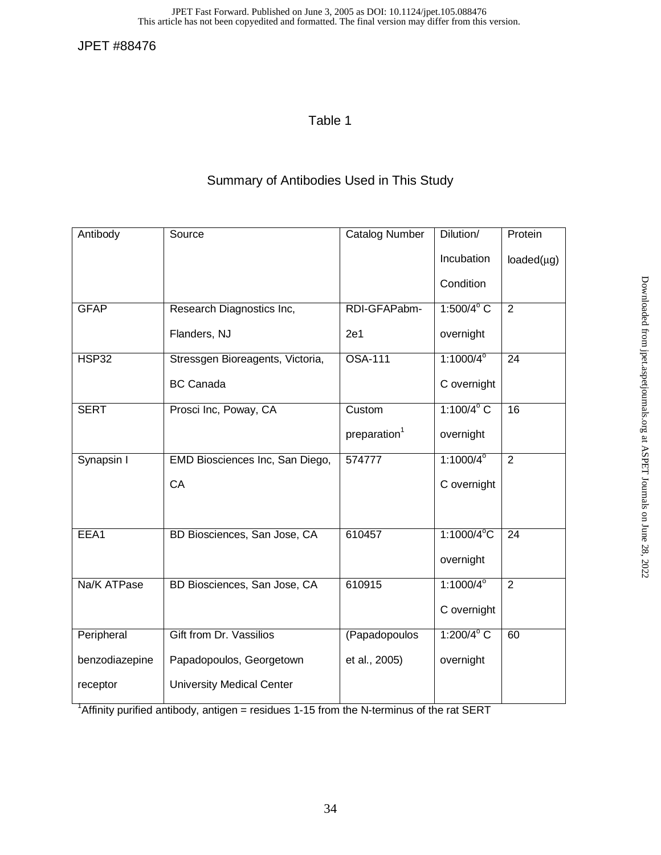## Table 1

# Summary of Antibodies Used in This Study

| Antibody       | Source                           | <b>Catalog Number</b>    | Dilution/            | Protein         |
|----------------|----------------------------------|--------------------------|----------------------|-----------------|
|                |                                  |                          | Incubation           | $loaded(\mu g)$ |
|                |                                  |                          | Condition            |                 |
| <b>GFAP</b>    | Research Diagnostics Inc,        | RDI-GFAPabm-             | 1:500/4 $^{\circ}$ C | $\overline{2}$  |
|                | Flanders, NJ                     | 2e <sub>1</sub>          | overnight            |                 |
| <b>HSP32</b>   | Stressgen Bioreagents, Victoria, | <b>OSA-111</b>           | $1:1000/4^{\circ}$   | 24              |
|                | <b>BC Canada</b>                 |                          | C overnight          |                 |
| <b>SERT</b>    | Prosci Inc, Poway, CA            | Custom                   | 1:100/4 $^{\circ}$ C | 16              |
|                |                                  | preparation <sup>1</sup> | overnight            |                 |
| Synapsin I     | EMD Biosciences Inc, San Diego,  | 574777                   | $1:1000/4^{\circ}$   | $\overline{2}$  |
|                | CA                               |                          | C overnight          |                 |
|                |                                  |                          |                      |                 |
| EEA1           | BD Biosciences, San Jose, CA     | 610457                   | 1:1000/4°C           | $\overline{2}4$ |
|                |                                  |                          | overnight            |                 |
| Na/K ATPase    | BD Biosciences, San Jose, CA     | 610915                   | $1:1000/4^{\circ}$   | $\overline{2}$  |
|                |                                  |                          | C overnight          |                 |
| Peripheral     | Gift from Dr. Vassilios          | (Papadopoulos            | 1:200/4 $^{\circ}$ C | 60              |
| benzodiazepine | Papadopoulos, Georgetown         | et al., 2005)            | overnight            |                 |
| receptor       | <b>University Medical Center</b> |                          |                      |                 |

<sup>1</sup> Affinity purified antibody, antigen = residues 1-15 from the N-terminus of the rat SERT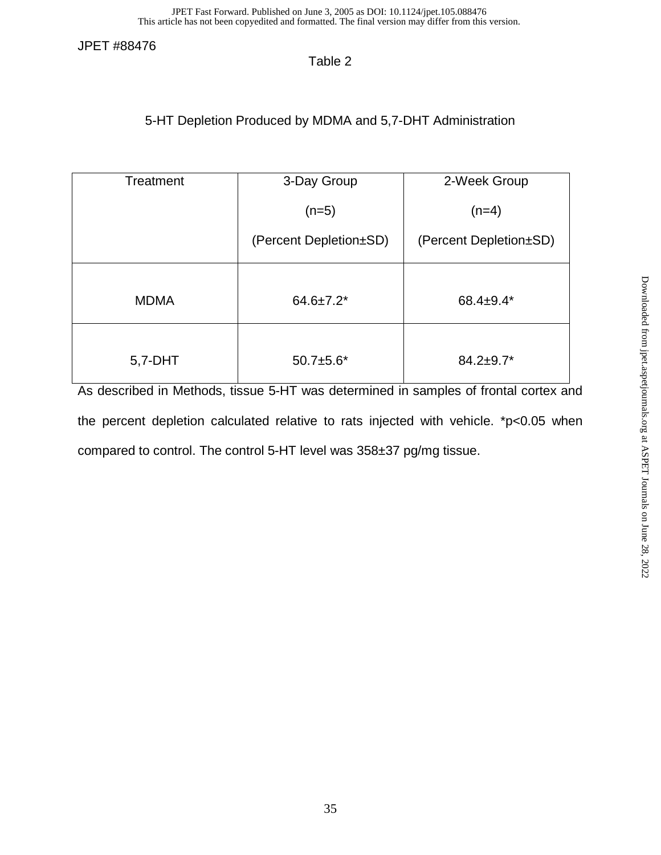## Table 2

# 5-HT Depletion Produced by MDMA and 5,7-DHT Administration

| Treatment   | 3-Day Group            | 2-Week Group                                                                                             |  |
|-------------|------------------------|----------------------------------------------------------------------------------------------------------|--|
|             | $(n=5)$                | $(n=4)$                                                                                                  |  |
|             | (Percent Depletion±SD) | (Percent Depletion±SD)                                                                                   |  |
| <b>MDMA</b> | $64.6 \pm 7.2$ *       | 68.4±9.4*                                                                                                |  |
| 5,7-DHT     | $50.7 + 5.6*$          | $84.2 \pm 9.7$ *<br>As described in Methode, tionus E HT was determined in complete of frontal option on |  |

As described in Methods, tissue 5-HT was determined in samples of frontal cortex and the percent depletion calculated relative to rats injected with vehicle. \*p<0.05 when compared to control. The control 5-HT level was 358±37 pg/mg tissue.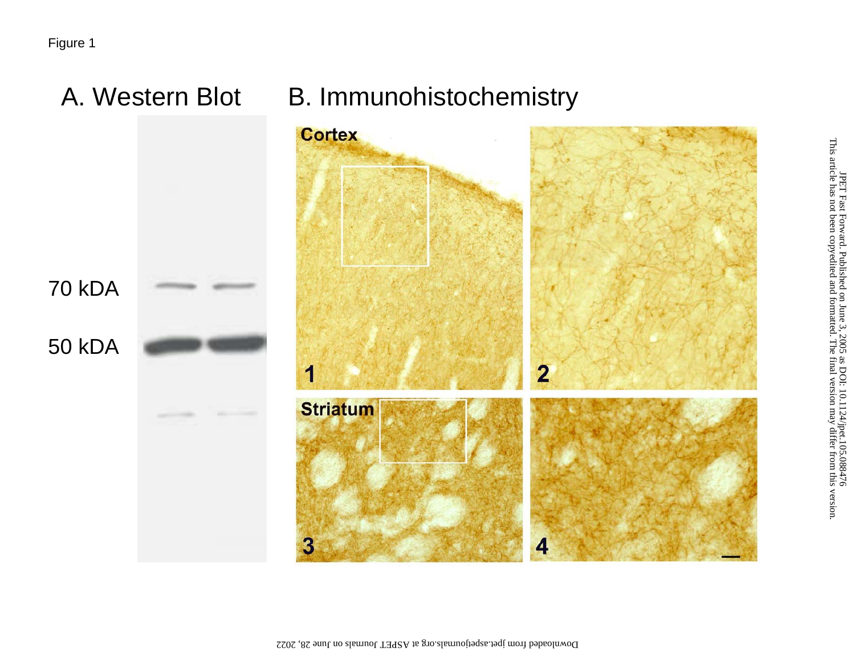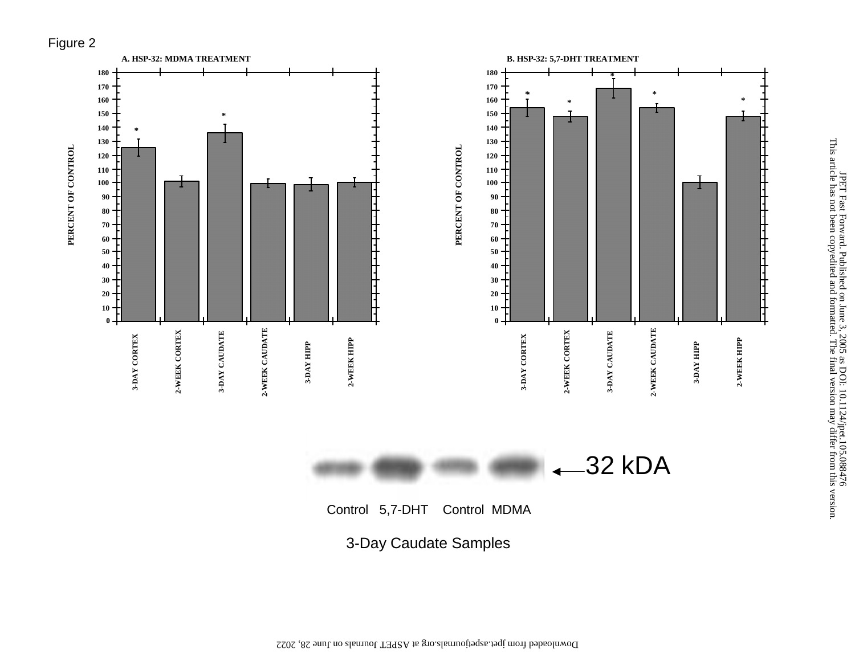Figure 2





Control 5,7-DHT Control MDMA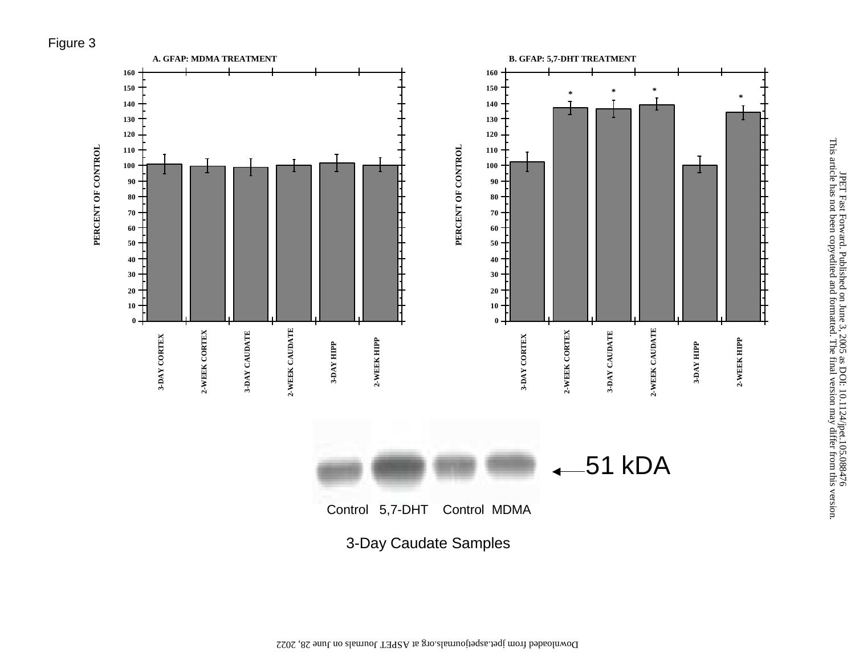Figure 3

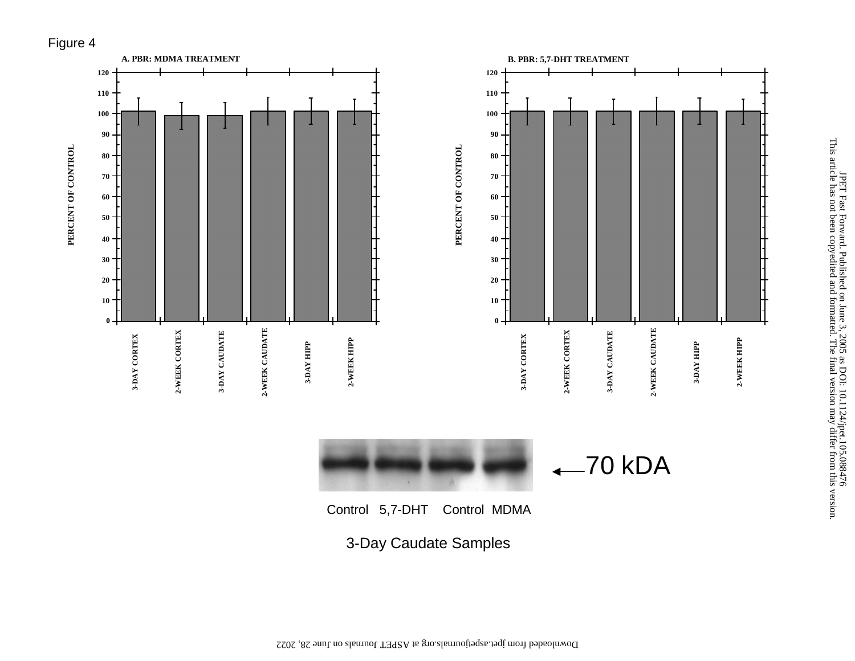





Control 5,7-DHT Control MDMA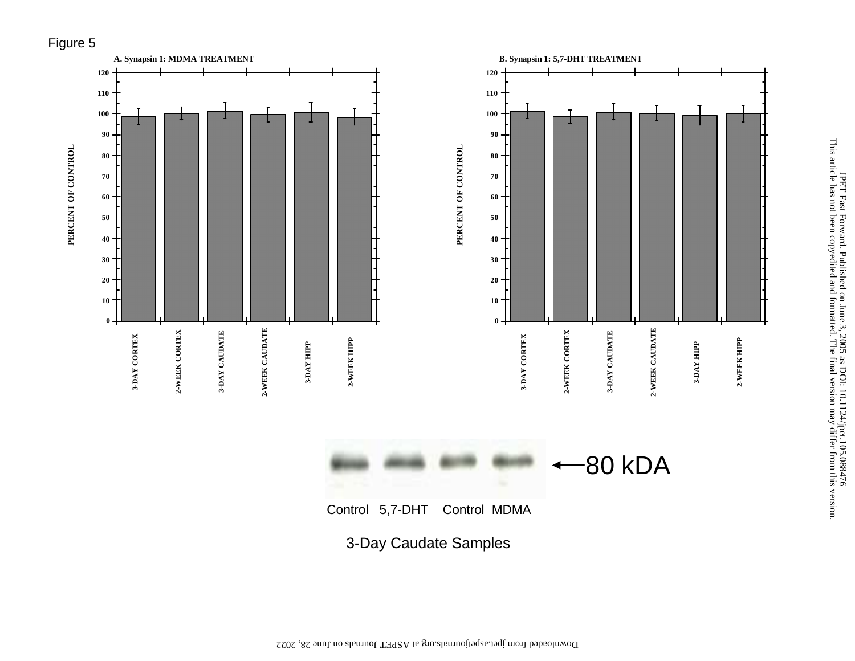



Control 5,7-DHT Control MDMA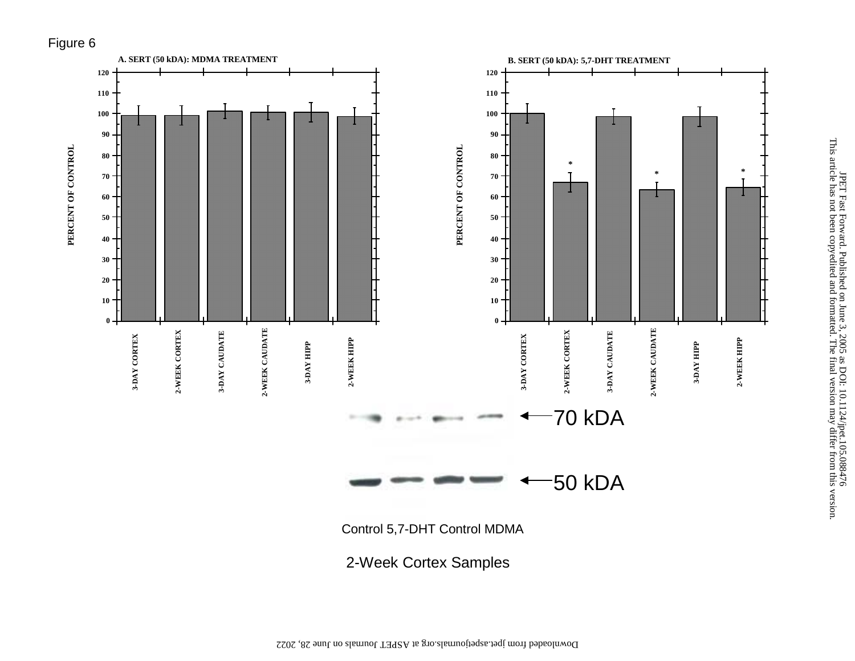



2-Week Cortex Samples

Figure 6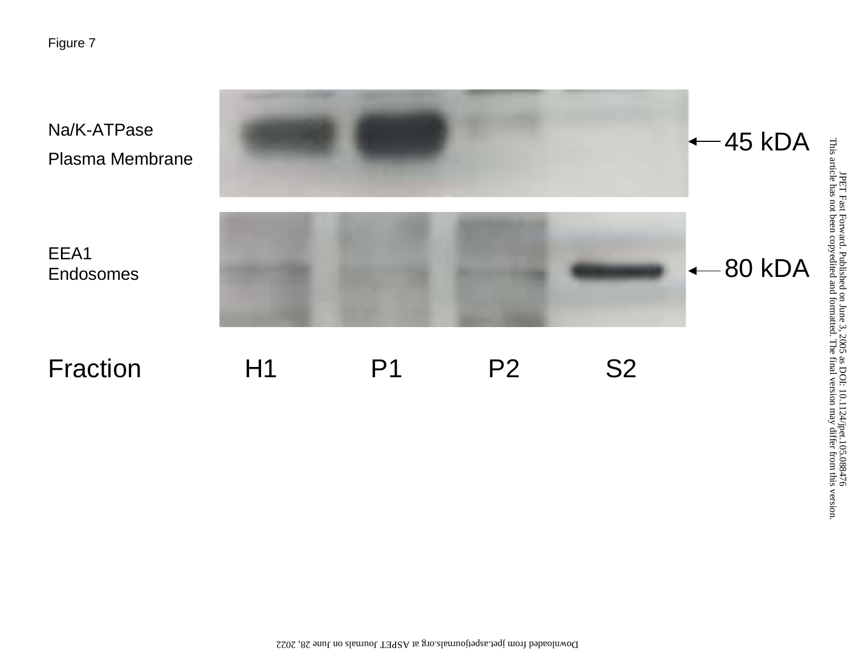Na/K-ATPase Plasma Membrane



EEA1 Endosomes

H1 P1 P2 **S2** Fraction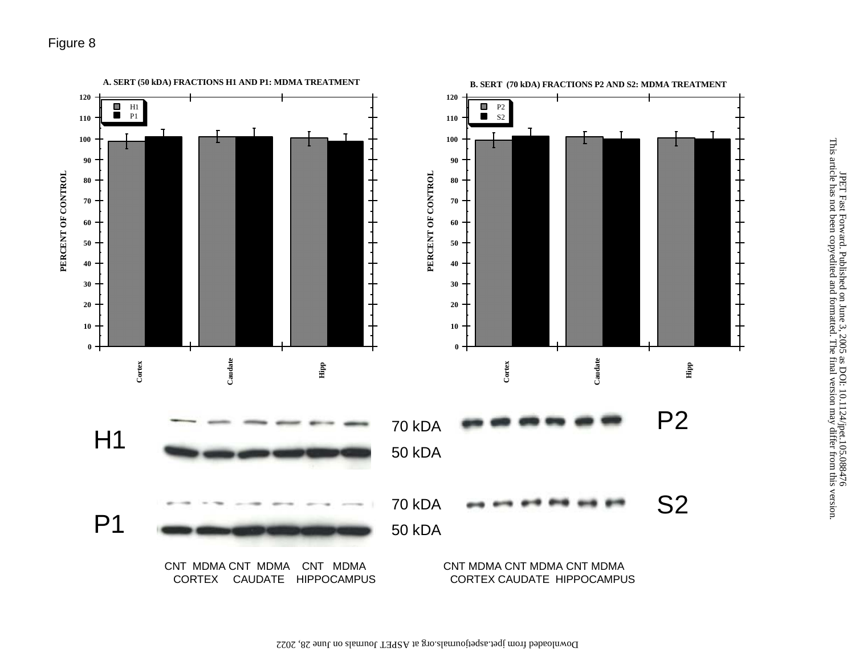## Figure 8